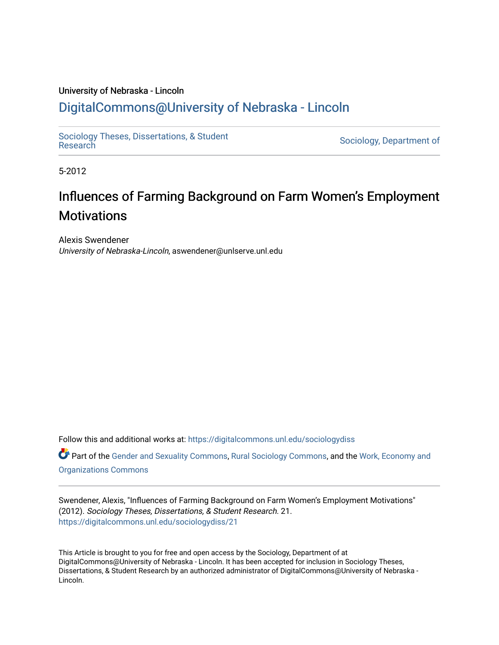# University of Nebraska - Lincoln [DigitalCommons@University of Nebraska - Lincoln](https://digitalcommons.unl.edu/)

[Sociology Theses, Dissertations, & Student](https://digitalcommons.unl.edu/sociologydiss)

Sociology, Department of

5-2012

# Influences of Farming Background on Farm Women's Employment **Motivations**

Alexis Swendener University of Nebraska-Lincoln, aswendener@unlserve.unl.edu

Follow this and additional works at: [https://digitalcommons.unl.edu/sociologydiss](https://digitalcommons.unl.edu/sociologydiss?utm_source=digitalcommons.unl.edu%2Fsociologydiss%2F21&utm_medium=PDF&utm_campaign=PDFCoverPages) 

Part of the [Gender and Sexuality Commons](http://network.bepress.com/hgg/discipline/420?utm_source=digitalcommons.unl.edu%2Fsociologydiss%2F21&utm_medium=PDF&utm_campaign=PDFCoverPages), [Rural Sociology Commons](http://network.bepress.com/hgg/discipline/428?utm_source=digitalcommons.unl.edu%2Fsociologydiss%2F21&utm_medium=PDF&utm_campaign=PDFCoverPages), and the Work, Economy and [Organizations Commons](http://network.bepress.com/hgg/discipline/433?utm_source=digitalcommons.unl.edu%2Fsociologydiss%2F21&utm_medium=PDF&utm_campaign=PDFCoverPages)

Swendener, Alexis, "Influences of Farming Background on Farm Women's Employment Motivations" (2012). Sociology Theses, Dissertations, & Student Research. 21. [https://digitalcommons.unl.edu/sociologydiss/21](https://digitalcommons.unl.edu/sociologydiss/21?utm_source=digitalcommons.unl.edu%2Fsociologydiss%2F21&utm_medium=PDF&utm_campaign=PDFCoverPages)

This Article is brought to you for free and open access by the Sociology, Department of at DigitalCommons@University of Nebraska - Lincoln. It has been accepted for inclusion in Sociology Theses, Dissertations, & Student Research by an authorized administrator of DigitalCommons@University of Nebraska -Lincoln.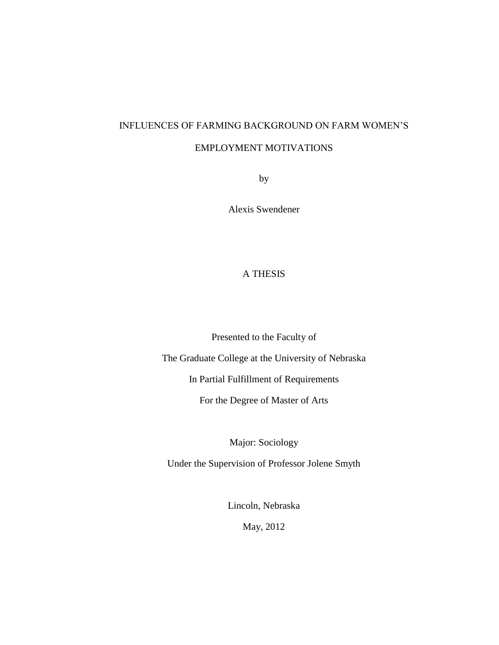# INFLUENCES OF FARMING BACKGROUND ON FARM WOMEN"S

# EMPLOYMENT MOTIVATIONS

by

Alexis Swendener

# A THESIS

Presented to the Faculty of

The Graduate College at the University of Nebraska

In Partial Fulfillment of Requirements

For the Degree of Master of Arts

Major: Sociology

Under the Supervision of Professor Jolene Smyth

Lincoln, Nebraska

May, 2012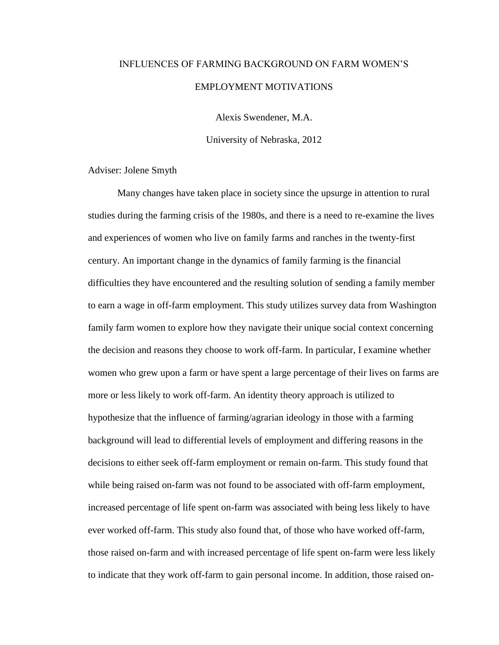# INFLUENCES OF FARMING BACKGROUND ON FARM WOMEN"S EMPLOYMENT MOTIVATIONS

Alexis Swendener, M.A.

University of Nebraska, 2012

Adviser: Jolene Smyth

Many changes have taken place in society since the upsurge in attention to rural studies during the farming crisis of the 1980s, and there is a need to re-examine the lives and experiences of women who live on family farms and ranches in the twenty-first century. An important change in the dynamics of family farming is the financial difficulties they have encountered and the resulting solution of sending a family member to earn a wage in off-farm employment. This study utilizes survey data from Washington family farm women to explore how they navigate their unique social context concerning the decision and reasons they choose to work off-farm. In particular, I examine whether women who grew upon a farm or have spent a large percentage of their lives on farms are more or less likely to work off-farm. An identity theory approach is utilized to hypothesize that the influence of farming/agrarian ideology in those with a farming background will lead to differential levels of employment and differing reasons in the decisions to either seek off-farm employment or remain on-farm. This study found that while being raised on-farm was not found to be associated with off-farm employment, increased percentage of life spent on-farm was associated with being less likely to have ever worked off-farm. This study also found that, of those who have worked off-farm, those raised on-farm and with increased percentage of life spent on-farm were less likely to indicate that they work off-farm to gain personal income. In addition, those raised on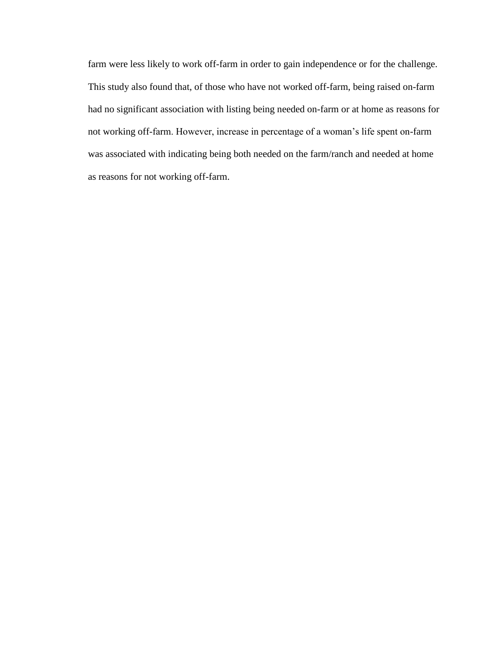farm were less likely to work off-farm in order to gain independence or for the challenge. This study also found that, of those who have not worked off-farm, being raised on-farm had no significant association with listing being needed on-farm or at home as reasons for not working off-farm. However, increase in percentage of a woman"s life spent on-farm was associated with indicating being both needed on the farm/ranch and needed at home as reasons for not working off-farm.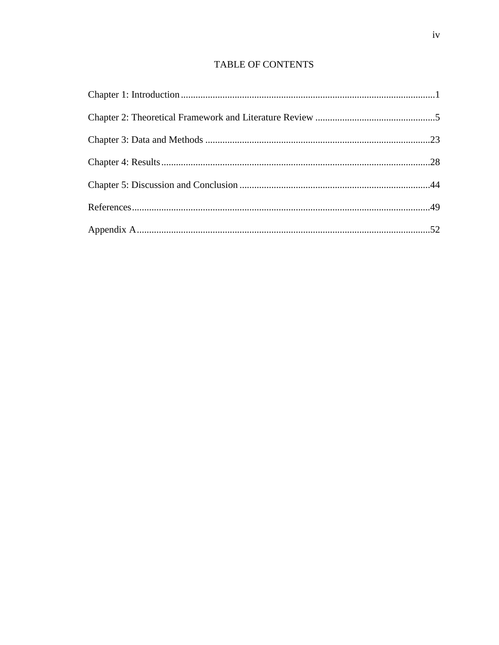# TABLE OF CONTENTS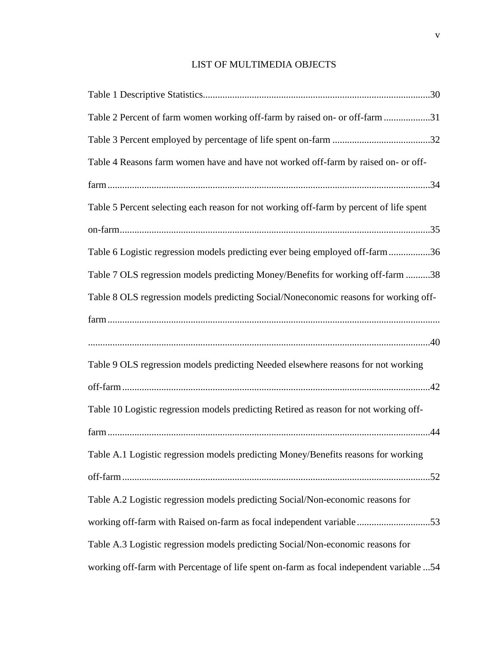# LIST OF MULTIMEDIA OBJECTS

| Table 2 Percent of farm women working off-farm by raised on- or off-farm 31              |
|------------------------------------------------------------------------------------------|
|                                                                                          |
| Table 4 Reasons farm women have and have not worked off-farm by raised on- or off-       |
|                                                                                          |
| Table 5 Percent selecting each reason for not working off-farm by percent of life spent  |
|                                                                                          |
| Table 6 Logistic regression models predicting ever being employed off-farm 36            |
| Table 7 OLS regression models predicting Money/Benefits for working off-farm 38          |
| Table 8 OLS regression models predicting Social/Noneconomic reasons for working off-     |
|                                                                                          |
|                                                                                          |
| Table 9 OLS regression models predicting Needed elsewhere reasons for not working        |
|                                                                                          |
| Table 10 Logistic regression models predicting Retired as reason for not working off-    |
|                                                                                          |
| Table A.1 Logistic regression models predicting Money/Benefits reasons for working       |
|                                                                                          |
| Table A.2 Logistic regression models predicting Social/Non-economic reasons for          |
| working off-farm with Raised on-farm as focal independent variable 53                    |
| Table A.3 Logistic regression models predicting Social/Non-economic reasons for          |
| working off-farm with Percentage of life spent on-farm as focal independent variable  54 |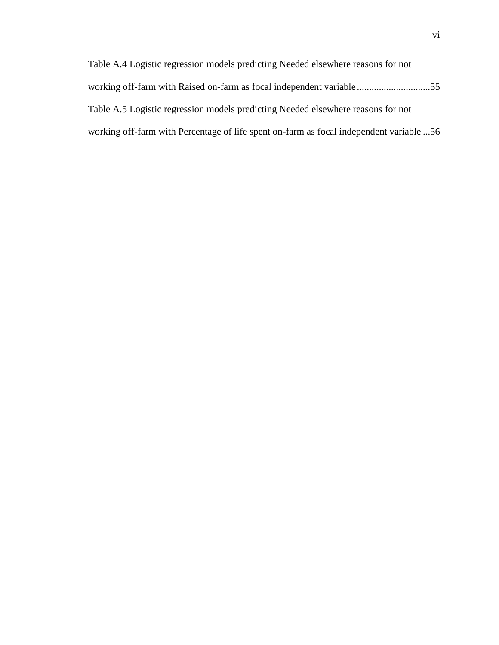| Table A.4 Logistic regression models predicting Needed elsewhere reasons for not        |  |
|-----------------------------------------------------------------------------------------|--|
| working off-farm with Raised on-farm as focal independent variable55                    |  |
| Table A.5 Logistic regression models predicting Needed elsewhere reasons for not        |  |
| 56 working off-farm with Percentage of life spent on-farm as focal independent variable |  |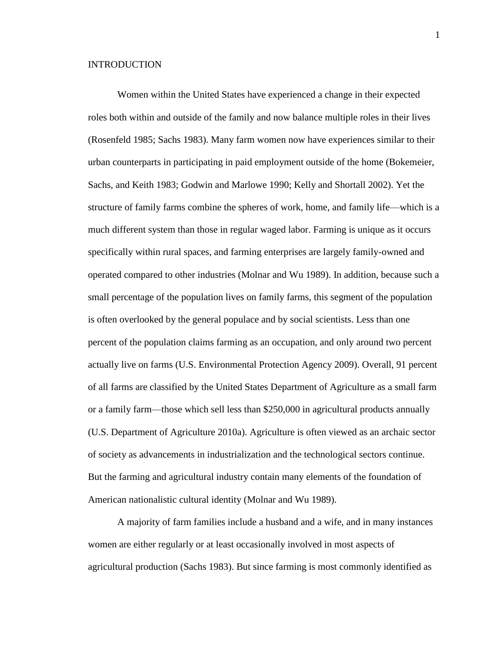#### **INTRODUCTION**

Women within the United States have experienced a change in their expected roles both within and outside of the family and now balance multiple roles in their lives (Rosenfeld 1985; Sachs 1983). Many farm women now have experiences similar to their urban counterparts in participating in paid employment outside of the home (Bokemeier, Sachs, and Keith 1983; Godwin and Marlowe 1990; Kelly and Shortall 2002). Yet the structure of family farms combine the spheres of work, home, and family life—which is a much different system than those in regular waged labor. Farming is unique as it occurs specifically within rural spaces, and farming enterprises are largely family-owned and operated compared to other industries (Molnar and Wu 1989). In addition, because such a small percentage of the population lives on family farms, this segment of the population is often overlooked by the general populace and by social scientists. Less than one percent of the population claims farming as an occupation, and only around two percent actually live on farms (U.S. Environmental Protection Agency 2009). Overall, 91 percent of all farms are classified by the United States Department of Agriculture as a small farm or a family farm—those which sell less than \$250,000 in agricultural products annually (U.S. Department of Agriculture 2010a). Agriculture is often viewed as an archaic sector of society as advancements in industrialization and the technological sectors continue. But the farming and agricultural industry contain many elements of the foundation of American nationalistic cultural identity (Molnar and Wu 1989).

A majority of farm families include a husband and a wife, and in many instances women are either regularly or at least occasionally involved in most aspects of agricultural production (Sachs 1983). But since farming is most commonly identified as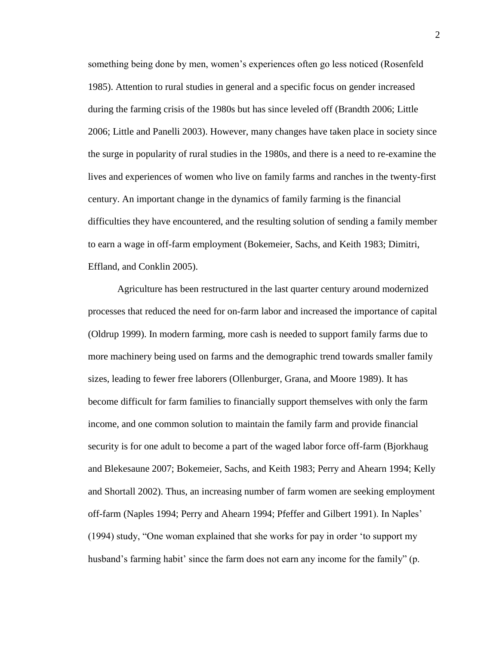something being done by men, women"s experiences often go less noticed (Rosenfeld 1985). Attention to rural studies in general and a specific focus on gender increased during the farming crisis of the 1980s but has since leveled off (Brandth 2006; Little 2006; Little and Panelli 2003). However, many changes have taken place in society since the surge in popularity of rural studies in the 1980s, and there is a need to re-examine the lives and experiences of women who live on family farms and ranches in the twenty-first century. An important change in the dynamics of family farming is the financial difficulties they have encountered, and the resulting solution of sending a family member to earn a wage in off-farm employment (Bokemeier, Sachs, and Keith 1983; Dimitri, Effland, and Conklin 2005).

Agriculture has been restructured in the last quarter century around modernized processes that reduced the need for on-farm labor and increased the importance of capital (Oldrup 1999). In modern farming, more cash is needed to support family farms due to more machinery being used on farms and the demographic trend towards smaller family sizes, leading to fewer free laborers (Ollenburger, Grana, and Moore 1989). It has become difficult for farm families to financially support themselves with only the farm income, and one common solution to maintain the family farm and provide financial security is for one adult to become a part of the waged labor force off-farm (Bjorkhaug and Blekesaune 2007; Bokemeier, Sachs, and Keith 1983; Perry and Ahearn 1994; Kelly and Shortall 2002). Thus, an increasing number of farm women are seeking employment off-farm (Naples 1994; Perry and Ahearn 1994; Pfeffer and Gilbert 1991). In Naples" (1994) study, "One woman explained that she works for pay in order "to support my husband's farming habit' since the farm does not earn any income for the family" (p.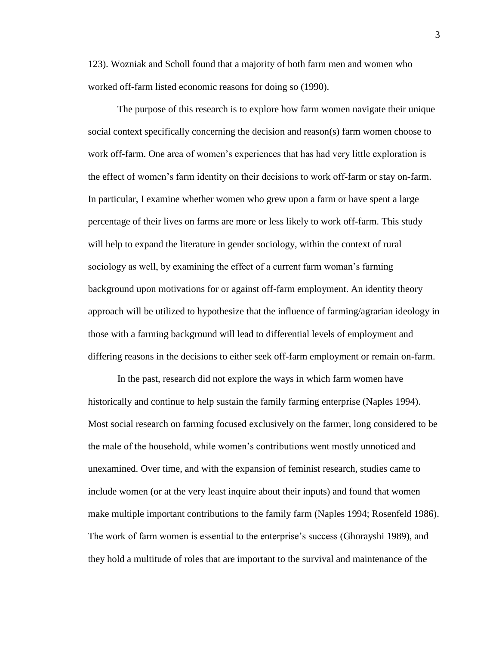123). Wozniak and Scholl found that a majority of both farm men and women who worked off-farm listed economic reasons for doing so (1990).

The purpose of this research is to explore how farm women navigate their unique social context specifically concerning the decision and reason(s) farm women choose to work off-farm. One area of women"s experiences that has had very little exploration is the effect of women"s farm identity on their decisions to work off-farm or stay on-farm. In particular, I examine whether women who grew upon a farm or have spent a large percentage of their lives on farms are more or less likely to work off-farm. This study will help to expand the literature in gender sociology, within the context of rural sociology as well, by examining the effect of a current farm woman"s farming background upon motivations for or against off-farm employment. An identity theory approach will be utilized to hypothesize that the influence of farming/agrarian ideology in those with a farming background will lead to differential levels of employment and differing reasons in the decisions to either seek off-farm employment or remain on-farm.

In the past, research did not explore the ways in which farm women have historically and continue to help sustain the family farming enterprise (Naples 1994). Most social research on farming focused exclusively on the farmer, long considered to be the male of the household, while women"s contributions went mostly unnoticed and unexamined. Over time, and with the expansion of feminist research, studies came to include women (or at the very least inquire about their inputs) and found that women make multiple important contributions to the family farm (Naples 1994; Rosenfeld 1986). The work of farm women is essential to the enterprise's success (Ghorayshi 1989), and they hold a multitude of roles that are important to the survival and maintenance of the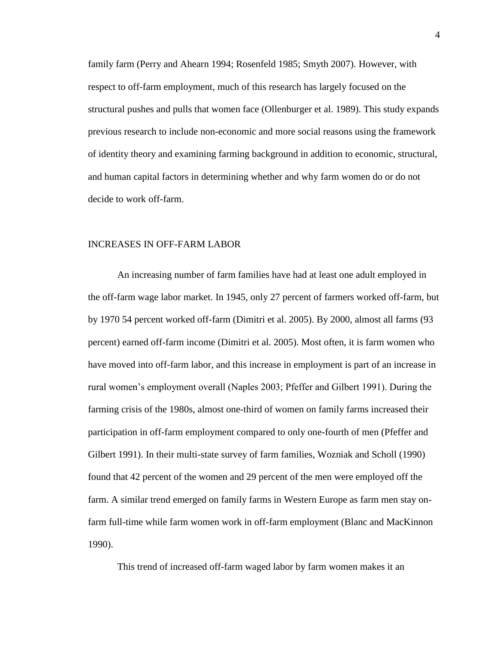family farm (Perry and Ahearn 1994; Rosenfeld 1985; Smyth 2007). However, with respect to off-farm employment, much of this research has largely focused on the structural pushes and pulls that women face (Ollenburger et al. 1989). This study expands previous research to include non-economic and more social reasons using the framework of identity theory and examining farming background in addition to economic, structural, and human capital factors in determining whether and why farm women do or do not decide to work off-farm.

#### INCREASES IN OFF-FARM LABOR

An increasing number of farm families have had at least one adult employed in the off-farm wage labor market. In 1945, only 27 percent of farmers worked off-farm, but by 1970 54 percent worked off-farm (Dimitri et al. 2005). By 2000, almost all farms (93 percent) earned off-farm income (Dimitri et al. 2005). Most often, it is farm women who have moved into off-farm labor, and this increase in employment is part of an increase in rural women"s employment overall (Naples 2003; Pfeffer and Gilbert 1991). During the farming crisis of the 1980s, almost one-third of women on family farms increased their participation in off-farm employment compared to only one-fourth of men (Pfeffer and Gilbert 1991). In their multi-state survey of farm families, Wozniak and Scholl (1990) found that 42 percent of the women and 29 percent of the men were employed off the farm. A similar trend emerged on family farms in Western Europe as farm men stay onfarm full-time while farm women work in off-farm employment (Blanc and MacKinnon 1990).

This trend of increased off-farm waged labor by farm women makes it an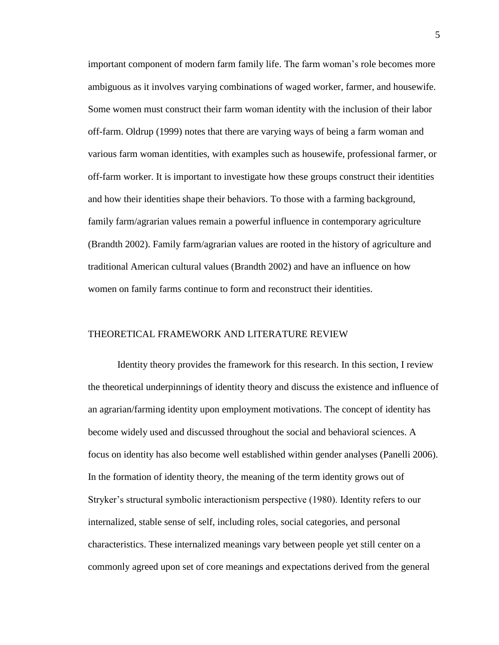important component of modern farm family life. The farm woman"s role becomes more ambiguous as it involves varying combinations of waged worker, farmer, and housewife. Some women must construct their farm woman identity with the inclusion of their labor off-farm. Oldrup (1999) notes that there are varying ways of being a farm woman and various farm woman identities, with examples such as housewife, professional farmer, or off-farm worker. It is important to investigate how these groups construct their identities and how their identities shape their behaviors. To those with a farming background, family farm/agrarian values remain a powerful influence in contemporary agriculture (Brandth 2002). Family farm/agrarian values are rooted in the history of agriculture and traditional American cultural values (Brandth 2002) and have an influence on how women on family farms continue to form and reconstruct their identities.

#### THEORETICAL FRAMEWORK AND LITERATURE REVIEW

Identity theory provides the framework for this research. In this section, I review the theoretical underpinnings of identity theory and discuss the existence and influence of an agrarian/farming identity upon employment motivations. The concept of identity has become widely used and discussed throughout the social and behavioral sciences. A focus on identity has also become well established within gender analyses (Panelli 2006). In the formation of identity theory, the meaning of the term identity grows out of Stryker"s structural symbolic interactionism perspective (1980). Identity refers to our internalized, stable sense of self, including roles, social categories, and personal characteristics. These internalized meanings vary between people yet still center on a commonly agreed upon set of core meanings and expectations derived from the general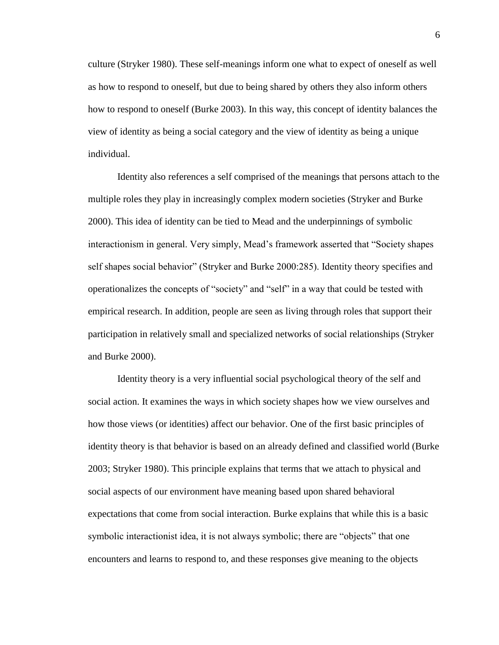culture (Stryker 1980). These self-meanings inform one what to expect of oneself as well as how to respond to oneself, but due to being shared by others they also inform others how to respond to oneself (Burke 2003). In this way, this concept of identity balances the view of identity as being a social category and the view of identity as being a unique individual.

Identity also references a self comprised of the meanings that persons attach to the multiple roles they play in increasingly complex modern societies (Stryker and Burke 2000). This idea of identity can be tied to Mead and the underpinnings of symbolic interactionism in general. Very simply, Mead"s framework asserted that "Society shapes self shapes social behavior" (Stryker and Burke 2000:285). Identity theory specifies and operationalizes the concepts of "society" and "self" in a way that could be tested with empirical research. In addition, people are seen as living through roles that support their participation in relatively small and specialized networks of social relationships (Stryker and Burke 2000).

Identity theory is a very influential social psychological theory of the self and social action. It examines the ways in which society shapes how we view ourselves and how those views (or identities) affect our behavior. One of the first basic principles of identity theory is that behavior is based on an already defined and classified world (Burke 2003; Stryker 1980). This principle explains that terms that we attach to physical and social aspects of our environment have meaning based upon shared behavioral expectations that come from social interaction. Burke explains that while this is a basic symbolic interactionist idea, it is not always symbolic; there are "objects" that one encounters and learns to respond to, and these responses give meaning to the objects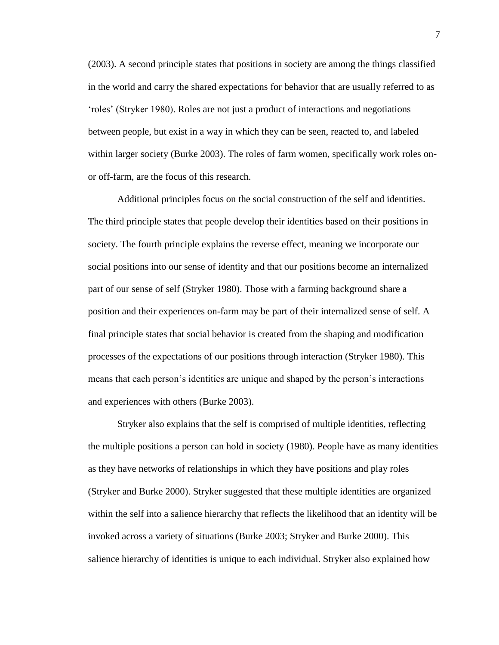(2003). A second principle states that positions in society are among the things classified in the world and carry the shared expectations for behavior that are usually referred to as "roles" (Stryker 1980). Roles are not just a product of interactions and negotiations between people, but exist in a way in which they can be seen, reacted to, and labeled within larger society (Burke 2003). The roles of farm women, specifically work roles onor off-farm, are the focus of this research.

Additional principles focus on the social construction of the self and identities. The third principle states that people develop their identities based on their positions in society. The fourth principle explains the reverse effect, meaning we incorporate our social positions into our sense of identity and that our positions become an internalized part of our sense of self (Stryker 1980). Those with a farming background share a position and their experiences on-farm may be part of their internalized sense of self. A final principle states that social behavior is created from the shaping and modification processes of the expectations of our positions through interaction (Stryker 1980). This means that each person's identities are unique and shaped by the person's interactions and experiences with others (Burke 2003).

Stryker also explains that the self is comprised of multiple identities, reflecting the multiple positions a person can hold in society (1980). People have as many identities as they have networks of relationships in which they have positions and play roles (Stryker and Burke 2000). Stryker suggested that these multiple identities are organized within the self into a salience hierarchy that reflects the likelihood that an identity will be invoked across a variety of situations (Burke 2003; Stryker and Burke 2000). This salience hierarchy of identities is unique to each individual. Stryker also explained how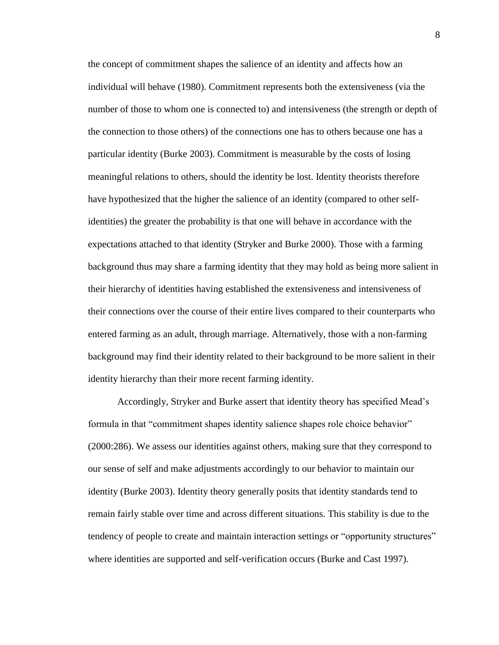the concept of commitment shapes the salience of an identity and affects how an individual will behave (1980). Commitment represents both the extensiveness (via the number of those to whom one is connected to) and intensiveness (the strength or depth of the connection to those others) of the connections one has to others because one has a particular identity (Burke 2003). Commitment is measurable by the costs of losing meaningful relations to others, should the identity be lost. Identity theorists therefore have hypothesized that the higher the salience of an identity (compared to other selfidentities) the greater the probability is that one will behave in accordance with the expectations attached to that identity (Stryker and Burke 2000). Those with a farming background thus may share a farming identity that they may hold as being more salient in their hierarchy of identities having established the extensiveness and intensiveness of their connections over the course of their entire lives compared to their counterparts who entered farming as an adult, through marriage. Alternatively, those with a non-farming background may find their identity related to their background to be more salient in their identity hierarchy than their more recent farming identity.

Accordingly, Stryker and Burke assert that identity theory has specified Mead"s formula in that "commitment shapes identity salience shapes role choice behavior" (2000:286). We assess our identities against others, making sure that they correspond to our sense of self and make adjustments accordingly to our behavior to maintain our identity (Burke 2003). Identity theory generally posits that identity standards tend to remain fairly stable over time and across different situations. This stability is due to the tendency of people to create and maintain interaction settings or "opportunity structures" where identities are supported and self-verification occurs (Burke and Cast 1997).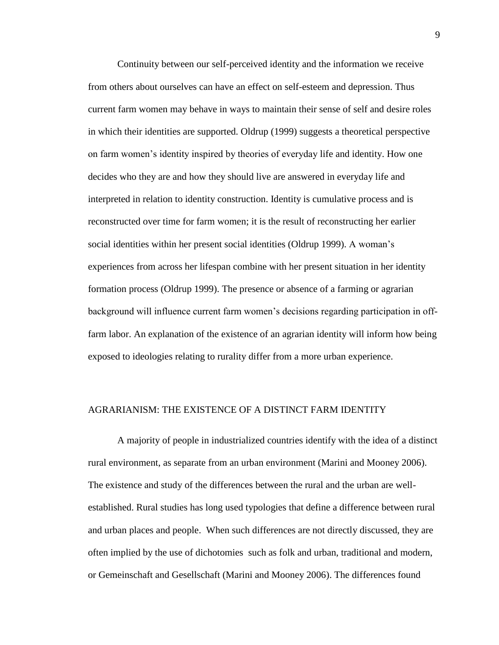Continuity between our self-perceived identity and the information we receive from others about ourselves can have an effect on self-esteem and depression. Thus current farm women may behave in ways to maintain their sense of self and desire roles in which their identities are supported. Oldrup (1999) suggests a theoretical perspective on farm women"s identity inspired by theories of everyday life and identity. How one decides who they are and how they should live are answered in everyday life and interpreted in relation to identity construction. Identity is cumulative process and is reconstructed over time for farm women; it is the result of reconstructing her earlier social identities within her present social identities (Oldrup 1999). A woman"s experiences from across her lifespan combine with her present situation in her identity formation process (Oldrup 1999). The presence or absence of a farming or agrarian background will influence current farm women"s decisions regarding participation in offfarm labor. An explanation of the existence of an agrarian identity will inform how being exposed to ideologies relating to rurality differ from a more urban experience.

## AGRARIANISM: THE EXISTENCE OF A DISTINCT FARM IDENTITY

A majority of people in industrialized countries identify with the idea of a distinct rural environment, as separate from an urban environment (Marini and Mooney 2006). The existence and study of the differences between the rural and the urban are wellestablished. Rural studies has long used typologies that define a difference between rural and urban places and people. When such differences are not directly discussed, they are often implied by the use of dichotomies such as folk and urban, traditional and modern, or Gemeinschaft and Gesellschaft (Marini and Mooney 2006). The differences found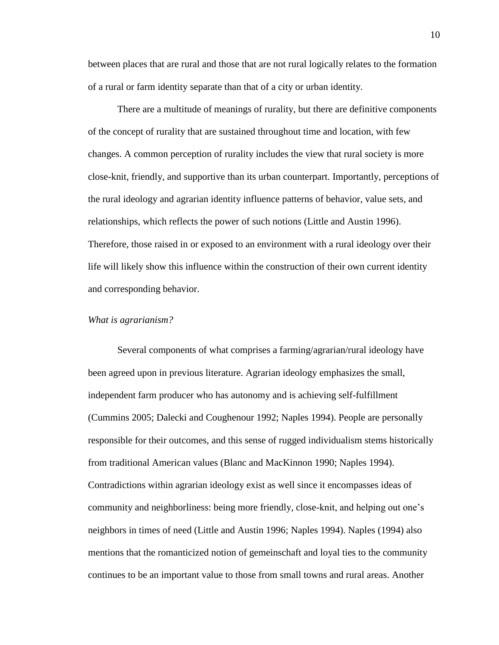between places that are rural and those that are not rural logically relates to the formation of a rural or farm identity separate than that of a city or urban identity.

There are a multitude of meanings of rurality, but there are definitive components of the concept of rurality that are sustained throughout time and location, with few changes. A common perception of rurality includes the view that rural society is more close-knit, friendly, and supportive than its urban counterpart. Importantly, perceptions of the rural ideology and agrarian identity influence patterns of behavior, value sets, and relationships, which reflects the power of such notions (Little and Austin 1996). Therefore, those raised in or exposed to an environment with a rural ideology over their life will likely show this influence within the construction of their own current identity and corresponding behavior.

#### *What is agrarianism?*

Several components of what comprises a farming/agrarian/rural ideology have been agreed upon in previous literature. Agrarian ideology emphasizes the small, independent farm producer who has autonomy and is achieving self-fulfillment (Cummins 2005; Dalecki and Coughenour 1992; Naples 1994). People are personally responsible for their outcomes, and this sense of rugged individualism stems historically from traditional American values (Blanc and MacKinnon 1990; Naples 1994). Contradictions within agrarian ideology exist as well since it encompasses ideas of community and neighborliness: being more friendly, close-knit, and helping out one"s neighbors in times of need (Little and Austin 1996; Naples 1994). Naples (1994) also mentions that the romanticized notion of gemeinschaft and loyal ties to the community continues to be an important value to those from small towns and rural areas. Another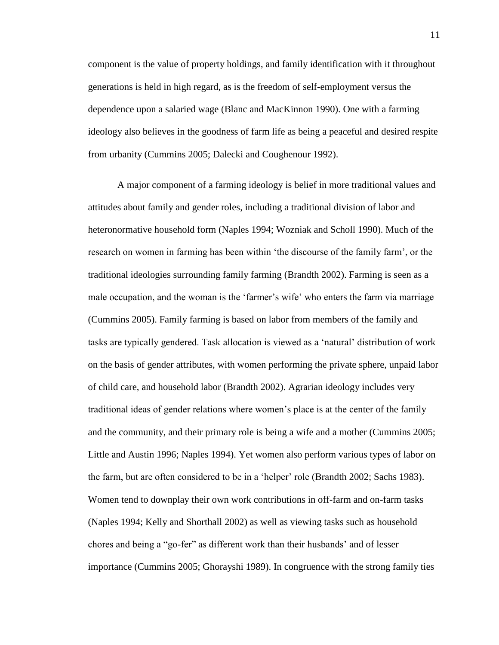component is the value of property holdings, and family identification with it throughout generations is held in high regard, as is the freedom of self-employment versus the dependence upon a salaried wage (Blanc and MacKinnon 1990). One with a farming ideology also believes in the goodness of farm life as being a peaceful and desired respite from urbanity (Cummins 2005; Dalecki and Coughenour 1992).

A major component of a farming ideology is belief in more traditional values and attitudes about family and gender roles, including a traditional division of labor and heteronormative household form (Naples 1994; Wozniak and Scholl 1990). Much of the research on women in farming has been within "the discourse of the family farm", or the traditional ideologies surrounding family farming (Brandth 2002). Farming is seen as a male occupation, and the woman is the 'farmer's wife' who enters the farm via marriage (Cummins 2005). Family farming is based on labor from members of the family and tasks are typically gendered. Task allocation is viewed as a "natural" distribution of work on the basis of gender attributes, with women performing the private sphere, unpaid labor of child care, and household labor (Brandth 2002). Agrarian ideology includes very traditional ideas of gender relations where women"s place is at the center of the family and the community, and their primary role is being a wife and a mother (Cummins 2005; Little and Austin 1996; Naples 1994). Yet women also perform various types of labor on the farm, but are often considered to be in a "helper" role (Brandth 2002; Sachs 1983). Women tend to downplay their own work contributions in off-farm and on-farm tasks (Naples 1994; Kelly and Shorthall 2002) as well as viewing tasks such as household chores and being a "go-fer" as different work than their husbands" and of lesser importance (Cummins 2005; Ghorayshi 1989). In congruence with the strong family ties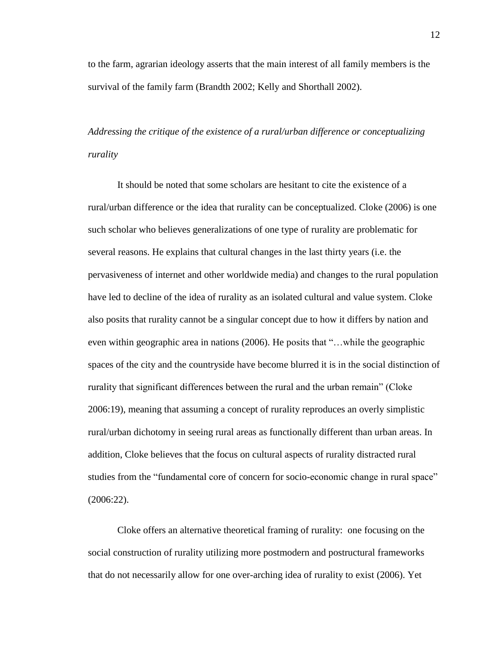to the farm, agrarian ideology asserts that the main interest of all family members is the survival of the family farm (Brandth 2002; Kelly and Shorthall 2002).

*Addressing the critique of the existence of a rural/urban difference or conceptualizing rurality*

It should be noted that some scholars are hesitant to cite the existence of a rural/urban difference or the idea that rurality can be conceptualized. Cloke (2006) is one such scholar who believes generalizations of one type of rurality are problematic for several reasons. He explains that cultural changes in the last thirty years (i.e. the pervasiveness of internet and other worldwide media) and changes to the rural population have led to decline of the idea of rurality as an isolated cultural and value system. Cloke also posits that rurality cannot be a singular concept due to how it differs by nation and even within geographic area in nations (2006). He posits that "…while the geographic spaces of the city and the countryside have become blurred it is in the social distinction of rurality that significant differences between the rural and the urban remain" (Cloke 2006:19), meaning that assuming a concept of rurality reproduces an overly simplistic rural/urban dichotomy in seeing rural areas as functionally different than urban areas. In addition, Cloke believes that the focus on cultural aspects of rurality distracted rural studies from the "fundamental core of concern for socio-economic change in rural space" (2006:22).

Cloke offers an alternative theoretical framing of rurality: one focusing on the social construction of rurality utilizing more postmodern and postructural frameworks that do not necessarily allow for one over-arching idea of rurality to exist (2006). Yet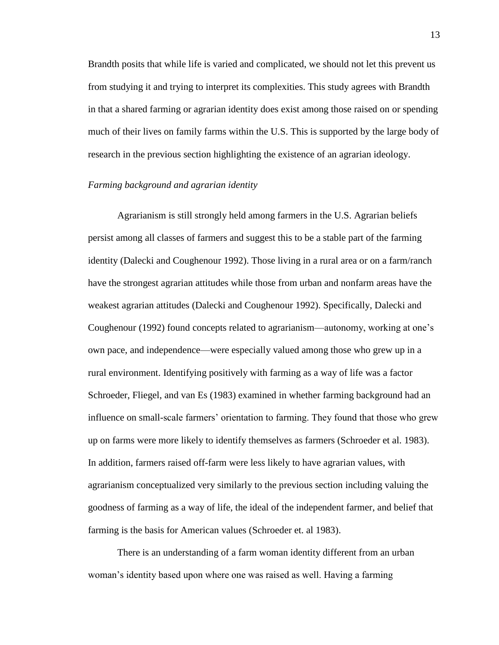Brandth posits that while life is varied and complicated, we should not let this prevent us from studying it and trying to interpret its complexities. This study agrees with Brandth in that a shared farming or agrarian identity does exist among those raised on or spending much of their lives on family farms within the U.S. This is supported by the large body of research in the previous section highlighting the existence of an agrarian ideology.

#### *Farming background and agrarian identity*

Agrarianism is still strongly held among farmers in the U.S. Agrarian beliefs persist among all classes of farmers and suggest this to be a stable part of the farming identity (Dalecki and Coughenour 1992). Those living in a rural area or on a farm/ranch have the strongest agrarian attitudes while those from urban and nonfarm areas have the weakest agrarian attitudes (Dalecki and Coughenour 1992). Specifically, Dalecki and Coughenour (1992) found concepts related to agrarianism—autonomy, working at one"s own pace, and independence—were especially valued among those who grew up in a rural environment. Identifying positively with farming as a way of life was a factor Schroeder, Fliegel, and van Es (1983) examined in whether farming background had an influence on small-scale farmers" orientation to farming. They found that those who grew up on farms were more likely to identify themselves as farmers (Schroeder et al. 1983). In addition, farmers raised off-farm were less likely to have agrarian values, with agrarianism conceptualized very similarly to the previous section including valuing the goodness of farming as a way of life, the ideal of the independent farmer, and belief that farming is the basis for American values (Schroeder et. al 1983).

There is an understanding of a farm woman identity different from an urban woman"s identity based upon where one was raised as well. Having a farming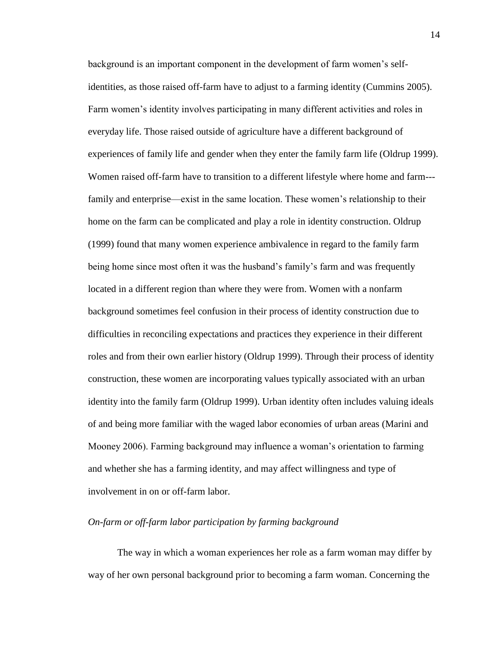background is an important component in the development of farm women"s selfidentities, as those raised off-farm have to adjust to a farming identity (Cummins 2005). Farm women"s identity involves participating in many different activities and roles in everyday life. Those raised outside of agriculture have a different background of experiences of family life and gender when they enter the family farm life (Oldrup 1999). Women raised off-farm have to transition to a different lifestyle where home and farm-- family and enterprise—exist in the same location. These women"s relationship to their home on the farm can be complicated and play a role in identity construction. Oldrup (1999) found that many women experience ambivalence in regard to the family farm being home since most often it was the husband"s family"s farm and was frequently located in a different region than where they were from. Women with a nonfarm background sometimes feel confusion in their process of identity construction due to difficulties in reconciling expectations and practices they experience in their different roles and from their own earlier history (Oldrup 1999). Through their process of identity construction, these women are incorporating values typically associated with an urban identity into the family farm (Oldrup 1999). Urban identity often includes valuing ideals of and being more familiar with the waged labor economies of urban areas (Marini and Mooney 2006). Farming background may influence a woman"s orientation to farming and whether she has a farming identity, and may affect willingness and type of involvement in on or off-farm labor.

#### *On-farm or off-farm labor participation by farming background*

The way in which a woman experiences her role as a farm woman may differ by way of her own personal background prior to becoming a farm woman. Concerning the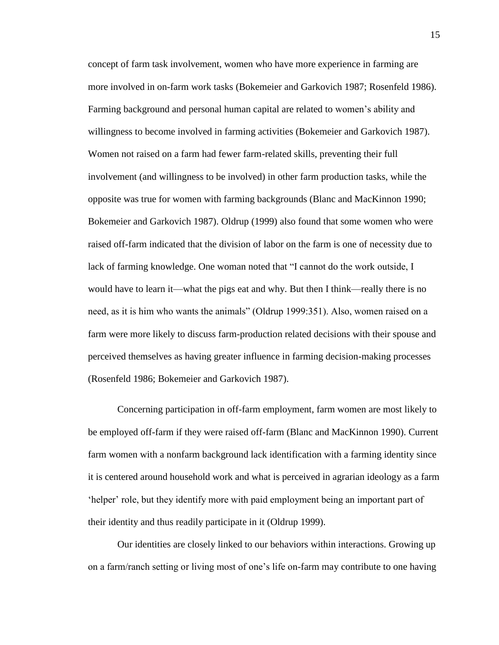concept of farm task involvement, women who have more experience in farming are more involved in on-farm work tasks (Bokemeier and Garkovich 1987; Rosenfeld 1986). Farming background and personal human capital are related to women"s ability and willingness to become involved in farming activities (Bokemeier and Garkovich 1987). Women not raised on a farm had fewer farm-related skills, preventing their full involvement (and willingness to be involved) in other farm production tasks, while the opposite was true for women with farming backgrounds (Blanc and MacKinnon 1990; Bokemeier and Garkovich 1987). Oldrup (1999) also found that some women who were raised off-farm indicated that the division of labor on the farm is one of necessity due to lack of farming knowledge. One woman noted that "I cannot do the work outside, I would have to learn it—what the pigs eat and why. But then I think—really there is no need, as it is him who wants the animals" (Oldrup 1999:351). Also, women raised on a farm were more likely to discuss farm-production related decisions with their spouse and perceived themselves as having greater influence in farming decision-making processes (Rosenfeld 1986; Bokemeier and Garkovich 1987).

Concerning participation in off-farm employment, farm women are most likely to be employed off-farm if they were raised off-farm (Blanc and MacKinnon 1990). Current farm women with a nonfarm background lack identification with a farming identity since it is centered around household work and what is perceived in agrarian ideology as a farm "helper" role, but they identify more with paid employment being an important part of their identity and thus readily participate in it (Oldrup 1999).

Our identities are closely linked to our behaviors within interactions. Growing up on a farm/ranch setting or living most of one"s life on-farm may contribute to one having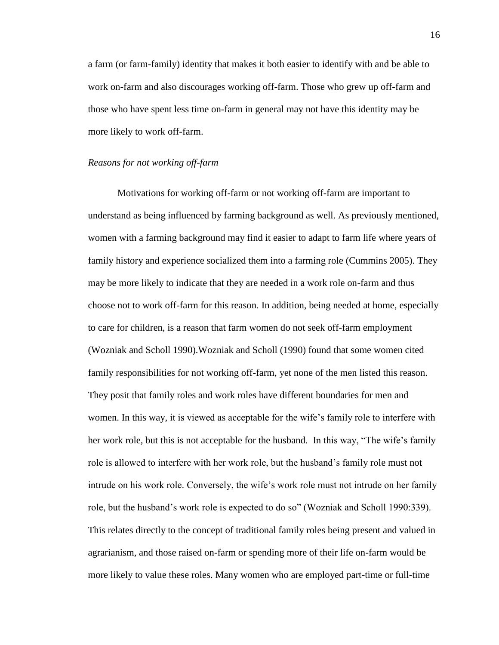a farm (or farm-family) identity that makes it both easier to identify with and be able to work on-farm and also discourages working off-farm. Those who grew up off-farm and those who have spent less time on-farm in general may not have this identity may be more likely to work off-farm.

#### *Reasons for not working off-farm*

Motivations for working off-farm or not working off-farm are important to understand as being influenced by farming background as well. As previously mentioned, women with a farming background may find it easier to adapt to farm life where years of family history and experience socialized them into a farming role (Cummins 2005). They may be more likely to indicate that they are needed in a work role on-farm and thus choose not to work off-farm for this reason. In addition, being needed at home, especially to care for children, is a reason that farm women do not seek off-farm employment (Wozniak and Scholl 1990).Wozniak and Scholl (1990) found that some women cited family responsibilities for not working off-farm, yet none of the men listed this reason. They posit that family roles and work roles have different boundaries for men and women. In this way, it is viewed as acceptable for the wife"s family role to interfere with her work role, but this is not acceptable for the husband. In this way, "The wife's family role is allowed to interfere with her work role, but the husband"s family role must not intrude on his work role. Conversely, the wife"s work role must not intrude on her family role, but the husband"s work role is expected to do so" (Wozniak and Scholl 1990:339). This relates directly to the concept of traditional family roles being present and valued in agrarianism, and those raised on-farm or spending more of their life on-farm would be more likely to value these roles. Many women who are employed part-time or full-time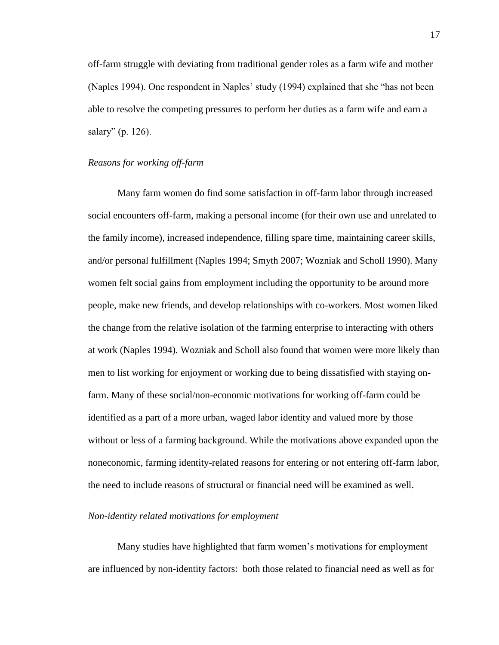off-farm struggle with deviating from traditional gender roles as a farm wife and mother (Naples 1994). One respondent in Naples' study (1994) explained that she "has not been able to resolve the competing pressures to perform her duties as a farm wife and earn a salary" (p. 126).

#### *Reasons for working off-farm*

Many farm women do find some satisfaction in off-farm labor through increased social encounters off-farm, making a personal income (for their own use and unrelated to the family income), increased independence, filling spare time, maintaining career skills, and/or personal fulfillment (Naples 1994; Smyth 2007; Wozniak and Scholl 1990). Many women felt social gains from employment including the opportunity to be around more people, make new friends, and develop relationships with co-workers. Most women liked the change from the relative isolation of the farming enterprise to interacting with others at work (Naples 1994). Wozniak and Scholl also found that women were more likely than men to list working for enjoyment or working due to being dissatisfied with staying onfarm. Many of these social/non-economic motivations for working off-farm could be identified as a part of a more urban, waged labor identity and valued more by those without or less of a farming background. While the motivations above expanded upon the noneconomic, farming identity-related reasons for entering or not entering off-farm labor, the need to include reasons of structural or financial need will be examined as well.

#### *Non-identity related motivations for employment*

Many studies have highlighted that farm women"s motivations for employment are influenced by non-identity factors: both those related to financial need as well as for

17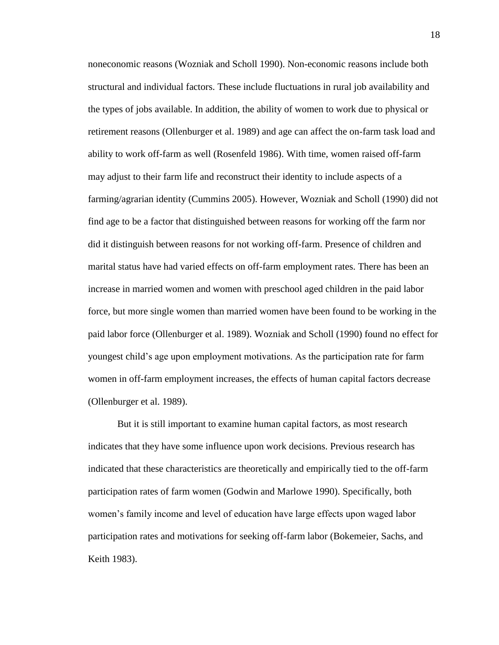noneconomic reasons (Wozniak and Scholl 1990). Non-economic reasons include both structural and individual factors. These include fluctuations in rural job availability and the types of jobs available. In addition, the ability of women to work due to physical or retirement reasons (Ollenburger et al. 1989) and age can affect the on-farm task load and ability to work off-farm as well (Rosenfeld 1986). With time, women raised off-farm may adjust to their farm life and reconstruct their identity to include aspects of a farming/agrarian identity (Cummins 2005). However, Wozniak and Scholl (1990) did not find age to be a factor that distinguished between reasons for working off the farm nor did it distinguish between reasons for not working off-farm. Presence of children and marital status have had varied effects on off-farm employment rates. There has been an increase in married women and women with preschool aged children in the paid labor force, but more single women than married women have been found to be working in the paid labor force (Ollenburger et al. 1989). Wozniak and Scholl (1990) found no effect for youngest child"s age upon employment motivations. As the participation rate for farm women in off-farm employment increases, the effects of human capital factors decrease (Ollenburger et al. 1989).

But it is still important to examine human capital factors, as most research indicates that they have some influence upon work decisions. Previous research has indicated that these characteristics are theoretically and empirically tied to the off-farm participation rates of farm women (Godwin and Marlowe 1990). Specifically, both women"s family income and level of education have large effects upon waged labor participation rates and motivations for seeking off-farm labor (Bokemeier, Sachs, and Keith 1983).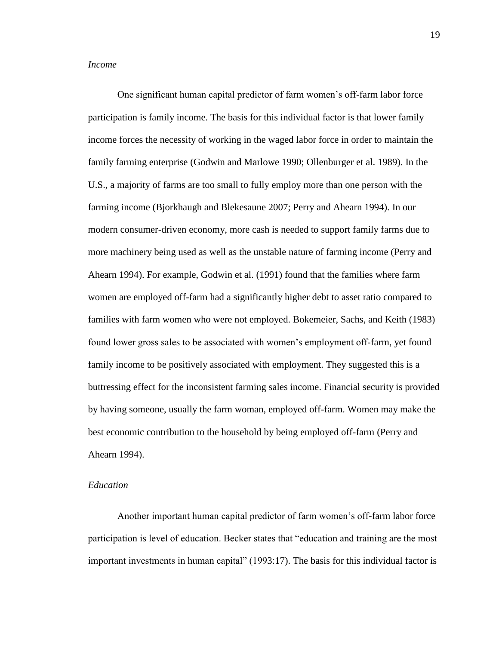#### *Income*

One significant human capital predictor of farm women"s off-farm labor force participation is family income. The basis for this individual factor is that lower family income forces the necessity of working in the waged labor force in order to maintain the family farming enterprise (Godwin and Marlowe 1990; Ollenburger et al. 1989). In the U.S., a majority of farms are too small to fully employ more than one person with the farming income (Bjorkhaugh and Blekesaune 2007; Perry and Ahearn 1994). In our modern consumer-driven economy, more cash is needed to support family farms due to more machinery being used as well as the unstable nature of farming income (Perry and Ahearn 1994). For example, Godwin et al. (1991) found that the families where farm women are employed off-farm had a significantly higher debt to asset ratio compared to families with farm women who were not employed. Bokemeier, Sachs, and Keith (1983) found lower gross sales to be associated with women"s employment off-farm, yet found family income to be positively associated with employment. They suggested this is a buttressing effect for the inconsistent farming sales income. Financial security is provided by having someone, usually the farm woman, employed off-farm. Women may make the best economic contribution to the household by being employed off-farm (Perry and Ahearn 1994).

#### *Education*

Another important human capital predictor of farm women's off-farm labor force participation is level of education. Becker states that "education and training are the most important investments in human capital" (1993:17). The basis for this individual factor is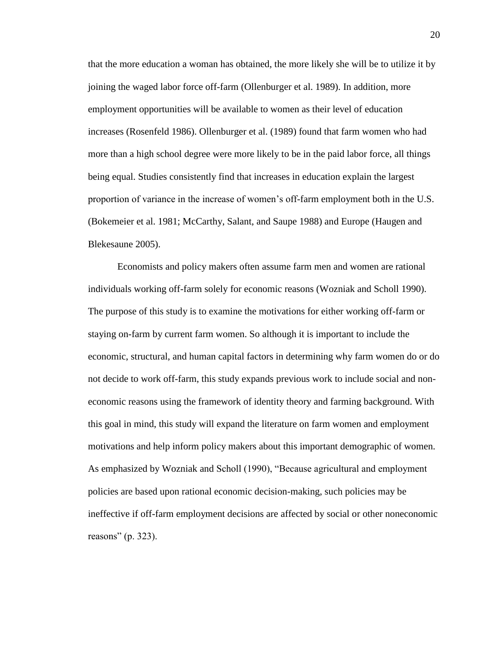that the more education a woman has obtained, the more likely she will be to utilize it by joining the waged labor force off-farm (Ollenburger et al. 1989). In addition, more employment opportunities will be available to women as their level of education increases (Rosenfeld 1986). Ollenburger et al. (1989) found that farm women who had more than a high school degree were more likely to be in the paid labor force, all things being equal. Studies consistently find that increases in education explain the largest proportion of variance in the increase of women"s off-farm employment both in the U.S. (Bokemeier et al. 1981; McCarthy, Salant, and Saupe 1988) and Europe (Haugen and Blekesaune 2005).

Economists and policy makers often assume farm men and women are rational individuals working off-farm solely for economic reasons (Wozniak and Scholl 1990). The purpose of this study is to examine the motivations for either working off-farm or staying on-farm by current farm women. So although it is important to include the economic, structural, and human capital factors in determining why farm women do or do not decide to work off-farm, this study expands previous work to include social and noneconomic reasons using the framework of identity theory and farming background. With this goal in mind, this study will expand the literature on farm women and employment motivations and help inform policy makers about this important demographic of women. As emphasized by Wozniak and Scholl (1990), "Because agricultural and employment policies are based upon rational economic decision-making, such policies may be ineffective if off-farm employment decisions are affected by social or other noneconomic reasons" (p. 323).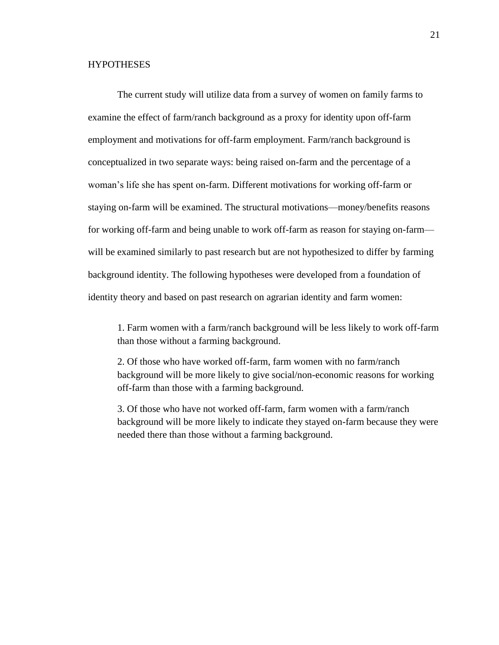#### **HYPOTHESES**

The current study will utilize data from a survey of women on family farms to examine the effect of farm/ranch background as a proxy for identity upon off-farm employment and motivations for off-farm employment. Farm/ranch background is conceptualized in two separate ways: being raised on-farm and the percentage of a woman"s life she has spent on-farm. Different motivations for working off-farm or staying on-farm will be examined. The structural motivations—money/benefits reasons for working off-farm and being unable to work off-farm as reason for staying on-farm will be examined similarly to past research but are not hypothesized to differ by farming background identity. The following hypotheses were developed from a foundation of identity theory and based on past research on agrarian identity and farm women:

1. Farm women with a farm/ranch background will be less likely to work off-farm than those without a farming background.

2. Of those who have worked off-farm, farm women with no farm/ranch background will be more likely to give social/non-economic reasons for working off-farm than those with a farming background.

3. Of those who have not worked off-farm, farm women with a farm/ranch background will be more likely to indicate they stayed on-farm because they were needed there than those without a farming background.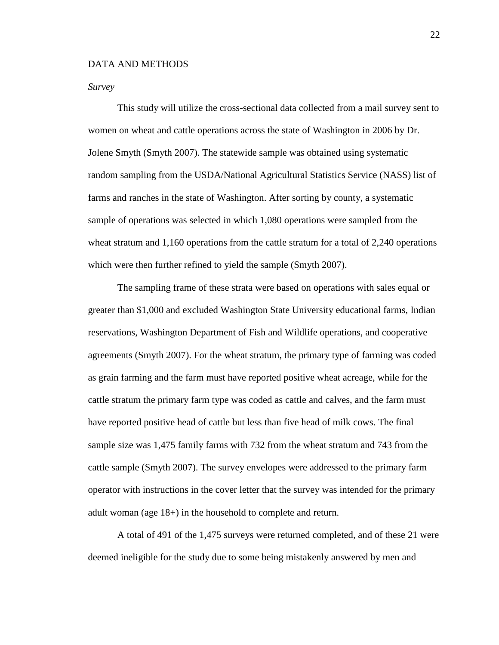#### DATA AND METHODS

#### *Survey*

This study will utilize the cross-sectional data collected from a mail survey sent to women on wheat and cattle operations across the state of Washington in 2006 by Dr. Jolene Smyth (Smyth 2007). The statewide sample was obtained using systematic random sampling from the USDA/National Agricultural Statistics Service (NASS) list of farms and ranches in the state of Washington. After sorting by county, a systematic sample of operations was selected in which 1,080 operations were sampled from the wheat stratum and 1,160 operations from the cattle stratum for a total of 2,240 operations which were then further refined to yield the sample (Smyth 2007).

The sampling frame of these strata were based on operations with sales equal or greater than \$1,000 and excluded Washington State University educational farms, Indian reservations, Washington Department of Fish and Wildlife operations, and cooperative agreements (Smyth 2007). For the wheat stratum, the primary type of farming was coded as grain farming and the farm must have reported positive wheat acreage, while for the cattle stratum the primary farm type was coded as cattle and calves, and the farm must have reported positive head of cattle but less than five head of milk cows. The final sample size was 1,475 family farms with 732 from the wheat stratum and 743 from the cattle sample (Smyth 2007). The survey envelopes were addressed to the primary farm operator with instructions in the cover letter that the survey was intended for the primary adult woman (age 18+) in the household to complete and return.

A total of 491 of the 1,475 surveys were returned completed, and of these 21 were deemed ineligible for the study due to some being mistakenly answered by men and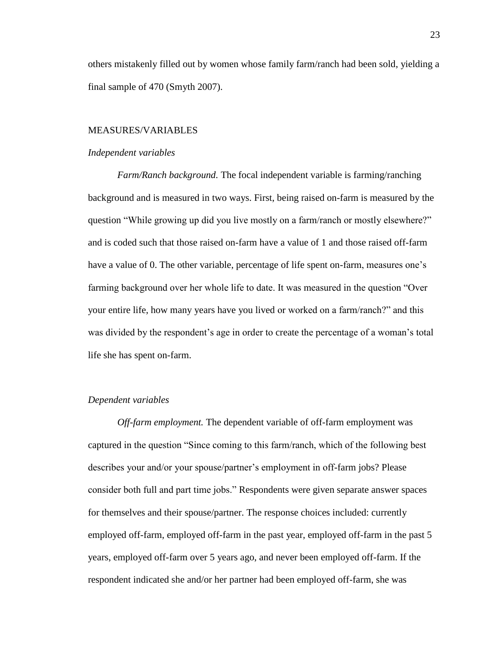others mistakenly filled out by women whose family farm/ranch had been sold, yielding a final sample of 470 (Smyth 2007).

#### MEASURES/VARIABLES

#### *Independent variables*

*Farm/Ranch background.* The focal independent variable is farming/ranching background and is measured in two ways. First, being raised on-farm is measured by the question "While growing up did you live mostly on a farm/ranch or mostly elsewhere?" and is coded such that those raised on-farm have a value of 1 and those raised off-farm have a value of 0. The other variable, percentage of life spent on-farm, measures one's farming background over her whole life to date. It was measured in the question "Over your entire life, how many years have you lived or worked on a farm/ranch?" and this was divided by the respondent's age in order to create the percentage of a woman's total life she has spent on-farm.

#### *Dependent variables*

*Off-farm employment.* The dependent variable of off-farm employment was captured in the question "Since coming to this farm/ranch, which of the following best describes your and/or your spouse/partner's employment in off-farm jobs? Please consider both full and part time jobs." Respondents were given separate answer spaces for themselves and their spouse/partner. The response choices included: currently employed off-farm, employed off-farm in the past year, employed off-farm in the past 5 years, employed off-farm over 5 years ago, and never been employed off-farm. If the respondent indicated she and/or her partner had been employed off-farm, she was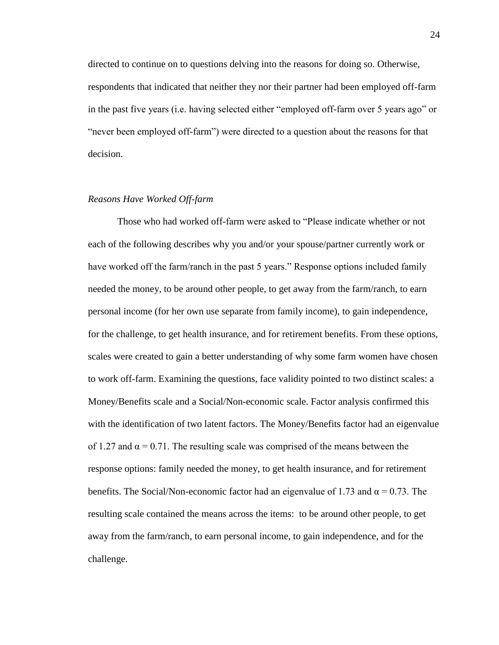directed to continue on to questions delving into the reasons for doing so. Otherwise, respondents that indicated that neither they nor their partner had been employed off-farm in the past five years (i.e. having selected either "employed off-farm over 5 years ago" or "never been employed off-farm") were directed to a question about the reasons for that decision.

#### *Reasons Have Worked Off-farm*

Those who had worked off-farm were asked to "Please indicate whether or not each of the following describes why you and/or your spouse/partner currently work or have worked off the farm/ranch in the past 5 years." Response options included family needed the money, to be around other people, to get away from the farm/ranch, to earn personal income (for her own use separate from family income), to gain independence, for the challenge, to get health insurance, and for retirement benefits. From these options, scales were created to gain a better understanding of why some farm women have chosen to work off-farm. Examining the questions, face validity pointed to two distinct scales: a Money/Benefits scale and a Social/Non-economic scale. Factor analysis confirmed this with the identification of two latent factors. The Money/Benefits factor had an eigenvalue of 1.27 and  $\alpha = 0.71$ . The resulting scale was comprised of the means between the response options: family needed the money, to get health insurance, and for retirement benefits. The Social/Non-economic factor had an eigenvalue of 1.73 and  $\alpha = 0.73$ . The resulting scale contained the means across the items: to be around other people, to get away from the farm/ranch, to earn personal income, to gain independence, and for the challenge.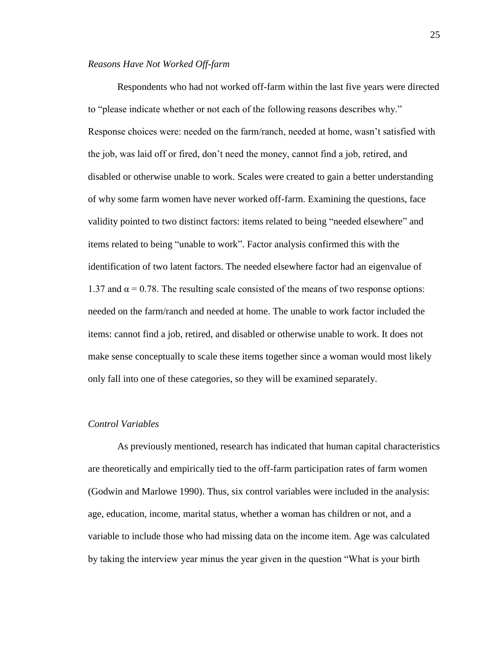#### *Reasons Have Not Worked Off-farm*

Respondents who had not worked off-farm within the last five years were directed to "please indicate whether or not each of the following reasons describes why." Response choices were: needed on the farm/ranch, needed at home, wasn"t satisfied with the job, was laid off or fired, don"t need the money, cannot find a job, retired, and disabled or otherwise unable to work. Scales were created to gain a better understanding of why some farm women have never worked off-farm. Examining the questions, face validity pointed to two distinct factors: items related to being "needed elsewhere" and items related to being "unable to work". Factor analysis confirmed this with the identification of two latent factors. The needed elsewhere factor had an eigenvalue of 1.37 and  $\alpha$  = 0.78. The resulting scale consisted of the means of two response options: needed on the farm/ranch and needed at home. The unable to work factor included the items: cannot find a job, retired, and disabled or otherwise unable to work. It does not make sense conceptually to scale these items together since a woman would most likely only fall into one of these categories, so they will be examined separately.

#### *Control Variables*

As previously mentioned, research has indicated that human capital characteristics are theoretically and empirically tied to the off-farm participation rates of farm women (Godwin and Marlowe 1990). Thus, six control variables were included in the analysis: age, education, income, marital status, whether a woman has children or not, and a variable to include those who had missing data on the income item. Age was calculated by taking the interview year minus the year given in the question "What is your birth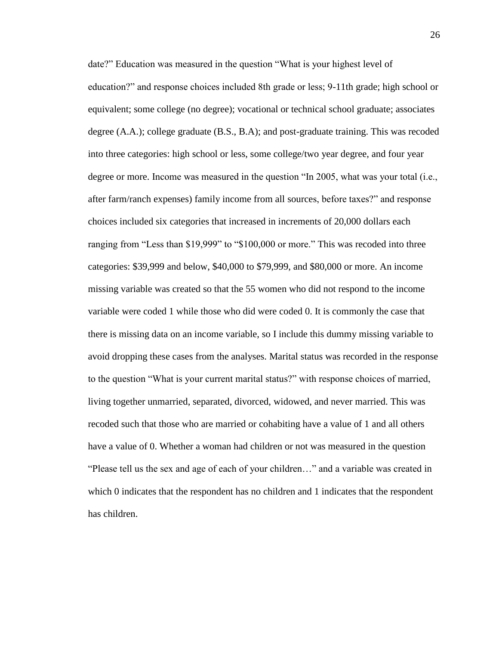date?" Education was measured in the question "What is your highest level of education?" and response choices included 8th grade or less; 9-11th grade; high school or equivalent; some college (no degree); vocational or technical school graduate; associates degree (A.A.); college graduate (B.S., B.A); and post-graduate training. This was recoded into three categories: high school or less, some college/two year degree, and four year degree or more. Income was measured in the question "In 2005, what was your total (i.e., after farm/ranch expenses) family income from all sources, before taxes?" and response choices included six categories that increased in increments of 20,000 dollars each ranging from "Less than \$19,999" to "\$100,000 or more." This was recoded into three categories: \$39,999 and below, \$40,000 to \$79,999, and \$80,000 or more. An income missing variable was created so that the 55 women who did not respond to the income variable were coded 1 while those who did were coded 0. It is commonly the case that there is missing data on an income variable, so I include this dummy missing variable to avoid dropping these cases from the analyses. Marital status was recorded in the response to the question "What is your current marital status?" with response choices of married, living together unmarried, separated, divorced, widowed, and never married. This was recoded such that those who are married or cohabiting have a value of 1 and all others have a value of 0. Whether a woman had children or not was measured in the question "Please tell us the sex and age of each of your children…" and a variable was created in which 0 indicates that the respondent has no children and 1 indicates that the respondent has children.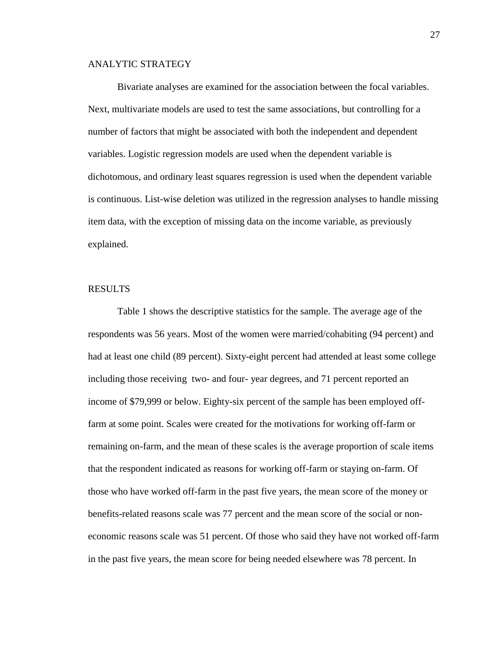## ANALYTIC STRATEGY

Bivariate analyses are examined for the association between the focal variables. Next, multivariate models are used to test the same associations, but controlling for a number of factors that might be associated with both the independent and dependent variables. Logistic regression models are used when the dependent variable is dichotomous, and ordinary least squares regression is used when the dependent variable is continuous. List-wise deletion was utilized in the regression analyses to handle missing item data, with the exception of missing data on the income variable, as previously explained.

#### RESULTS

Table 1 shows the descriptive statistics for the sample. The average age of the respondents was 56 years. Most of the women were married/cohabiting (94 percent) and had at least one child (89 percent). Sixty-eight percent had attended at least some college including those receiving two- and four- year degrees, and 71 percent reported an income of \$79,999 or below. Eighty-six percent of the sample has been employed offfarm at some point. Scales were created for the motivations for working off-farm or remaining on-farm, and the mean of these scales is the average proportion of scale items that the respondent indicated as reasons for working off-farm or staying on-farm. Of those who have worked off-farm in the past five years, the mean score of the money or benefits-related reasons scale was 77 percent and the mean score of the social or noneconomic reasons scale was 51 percent. Of those who said they have not worked off-farm in the past five years, the mean score for being needed elsewhere was 78 percent. In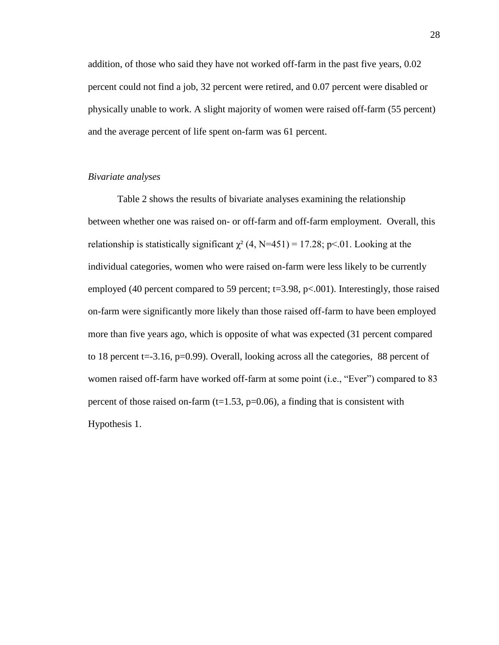addition, of those who said they have not worked off-farm in the past five years, 0.02 percent could not find a job, 32 percent were retired, and 0.07 percent were disabled or physically unable to work. A slight majority of women were raised off-farm (55 percent) and the average percent of life spent on-farm was 61 percent.

## *Bivariate analyses*

Table 2 shows the results of bivariate analyses examining the relationship between whether one was raised on- or off-farm and off-farm employment. Overall, this relationship is statistically significant  $\gamma^2$  (4, N=451) = 17.28; p<.01. Looking at the individual categories, women who were raised on-farm were less likely to be currently employed (40 percent compared to 59 percent;  $t=3.98$ ,  $p<0.001$ ). Interestingly, those raised on-farm were significantly more likely than those raised off-farm to have been employed more than five years ago, which is opposite of what was expected (31 percent compared to 18 percent t=-3.16, p=0.99). Overall, looking across all the categories, 88 percent of women raised off-farm have worked off-farm at some point (i.e., "Ever") compared to 83 percent of those raised on-farm  $(t=1.53, p=0.06)$ , a finding that is consistent with Hypothesis 1.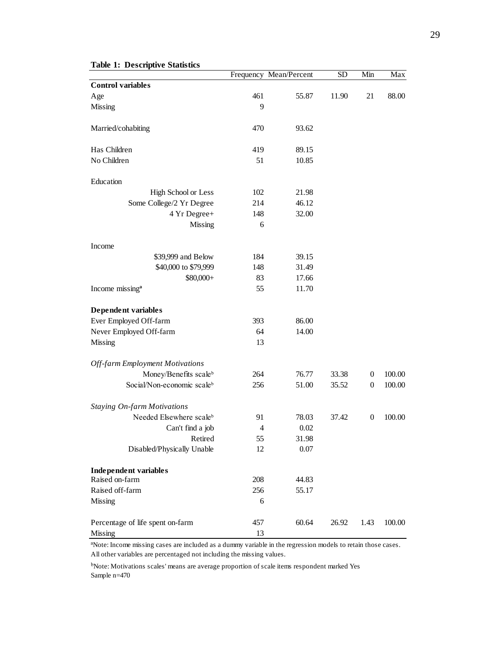|                                        |                | Frequency Mean/Percent | <b>SD</b> | Min              | Max    |
|----------------------------------------|----------------|------------------------|-----------|------------------|--------|
| <b>Control variables</b>               |                |                        |           |                  |        |
| Age                                    | 461            | 55.87                  | 11.90     | 21               | 88.00  |
| <b>Missing</b>                         | 9              |                        |           |                  |        |
| Married/cohabiting                     | 470            | 93.62                  |           |                  |        |
| Has Children                           | 419            | 89.15                  |           |                  |        |
| No Children                            | 51             | 10.85                  |           |                  |        |
| Education                              |                |                        |           |                  |        |
| High School or Less                    | 102            | 21.98                  |           |                  |        |
| Some College/2 Yr Degree               | 214            | 46.12                  |           |                  |        |
| 4 Yr Degree+                           | 148            | 32.00                  |           |                  |        |
| Missing                                | 6              |                        |           |                  |        |
| Income                                 |                |                        |           |                  |        |
| \$39,999 and Below                     | 184            | 39.15                  |           |                  |        |
| \$40,000 to \$79,999                   | 148            | 31.49                  |           |                  |        |
| \$80,000+                              | 83             | 17.66                  |           |                  |        |
| Income missing <sup>a</sup>            | 55             | 11.70                  |           |                  |        |
| Dependent variables                    |                |                        |           |                  |        |
| Ever Employed Off-farm                 | 393            | 86.00                  |           |                  |        |
| Never Employed Off-farm                | 64             | 14.00                  |           |                  |        |
| <b>Missing</b>                         | 13             |                        |           |                  |        |
| <b>Off-farm Employment Motivations</b> |                |                        |           |                  |        |
| Money/Benefits scaleb                  | 264            | 76.77                  | 33.38     | $\overline{0}$   | 100.00 |
| Social/Non-economic scaleb             | 256            | 51.00                  | 35.52     | $\boldsymbol{0}$ | 100.00 |
| <b>Staying On-farm Motivations</b>     |                |                        |           |                  |        |
| Needed Elsewhere scaleb                | 91             | 78.03                  | 37.42     | $\overline{0}$   | 100.00 |
| Can't find a job                       | $\overline{4}$ | 0.02                   |           |                  |        |
| Retired                                | 55             | 31.98                  |           |                  |        |
| Disabled/Physically Unable             | 12             | 0.07                   |           |                  |        |
| <b>Independent variables</b>           |                |                        |           |                  |        |
| Raised on-farm                         | 208            | 44.83                  |           |                  |        |
| Raised off-farm                        | 256            | 55.17                  |           |                  |        |
| Missing                                | 6              |                        |           |                  |        |
| Percentage of life spent on-farm       | 457            | 60.64                  | 26.92     | 1.43             | 100.00 |
| <b>Missing</b>                         | 13             |                        |           |                  |        |

#### **Table 1: Descriptive Statistics**

ᵃNote: Income missing cases are included as a dummy variable in the regression models to retain those cases. All other variables are percentaged not including the missing values.

ᵇNote: Motivations scales' means are average proportion of scale items respondent marked Yes Sample n=470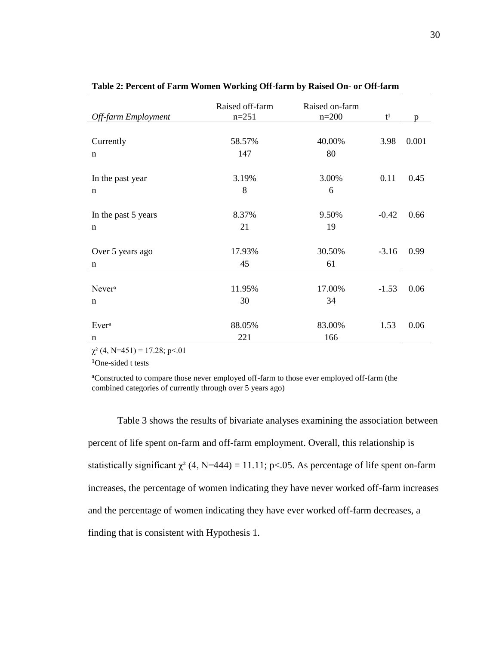| Off-farm Employment | Raised off-farm<br>$n=251$ | Raised on-farm<br>$n=200$ | $t^1$   | p     |
|---------------------|----------------------------|---------------------------|---------|-------|
|                     |                            |                           |         |       |
| Currently           | 58.57%                     | 40.00%                    | 3.98    | 0.001 |
| $\mathbf n$         | 147                        | 80                        |         |       |
|                     |                            |                           |         |       |
| In the past year    | 3.19%                      | 3.00%                     | 0.11    | 0.45  |
| n                   | 8                          | 6                         |         |       |
|                     |                            |                           |         |       |
| In the past 5 years | 8.37%                      | 9.50%                     | $-0.42$ | 0.66  |
| $\mathbf n$         | 21                         | 19                        |         |       |
|                     |                            |                           |         |       |
| Over 5 years ago    | 17.93%                     | 30.50%                    | $-3.16$ | 0.99  |
| n                   | 45                         | 61                        |         |       |
|                     |                            |                           |         |       |
| Never <sup>a</sup>  | 11.95%                     | 17.00%                    | $-1.53$ | 0.06  |
| n                   | 30                         | 34                        |         |       |
|                     |                            |                           |         |       |
| Ever <sup>a</sup>   | 88.05%                     | 83.00%                    | 1.53    | 0.06  |
| n                   | 221                        | 166                       |         |       |

**Table 2: Percent of Farm Women Working Off-farm by Raised On- or Off-farm**

 $\chi^2$  (4, N=451) = 17.28; p < 01

<sup>1</sup>One-sided t tests

ᵃConstructed to compare those never employed off-farm to those ever employed off-farm (the combined categories of currently through over 5 years ago)

Table 3 shows the results of bivariate analyses examining the association between percent of life spent on-farm and off-farm employment. Overall, this relationship is statistically significant  $\chi^2$  (4, N=444) = 11.11; p<.05. As percentage of life spent on-farm increases, the percentage of women indicating they have never worked off-farm increases and the percentage of women indicating they have ever worked off-farm decreases, a finding that is consistent with Hypothesis 1.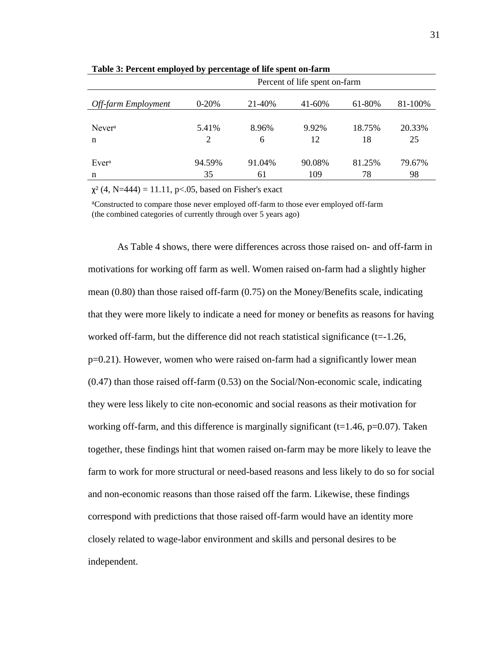|                     | Percent of life spent on-farm |        |        |        |         |
|---------------------|-------------------------------|--------|--------|--------|---------|
| Off-farm Employment | $0-20%$                       | 21-40% | 41-60% | 61-80% | 81-100% |
| Never <sup>a</sup>  | 5.41%                         | 8.96%  | 9.92%  | 18.75% | 20.33%  |
| n                   | 2                             | 6      | 12     | 18     | 25      |
| Ever <sup>a</sup>   | 94.59%                        | 91.04% | 90.08% | 81.25% | 79.67%  |
| n                   | 35                            | 61     | 109    | 78     | 98      |

**Table 3: Percent employed by percentage of life spent on-farm**

 $\chi^2$  (4, N=444) = 11.11, p<.05, based on Fisher's exact

ᵃConstructed to compare those never employed off-farm to those ever employed off-farm (the combined categories of currently through over 5 years ago)

As Table 4 shows, there were differences across those raised on- and off-farm in motivations for working off farm as well. Women raised on-farm had a slightly higher mean (0.80) than those raised off-farm (0.75) on the Money/Benefits scale, indicating that they were more likely to indicate a need for money or benefits as reasons for having worked off-farm, but the difference did not reach statistical significance  $(t=1.26$ , p=0.21). However, women who were raised on-farm had a significantly lower mean (0.47) than those raised off-farm (0.53) on the Social/Non-economic scale, indicating they were less likely to cite non-economic and social reasons as their motivation for working off-farm, and this difference is marginally significant ( $t=1.46$ ,  $p=0.07$ ). Taken together, these findings hint that women raised on-farm may be more likely to leave the farm to work for more structural or need-based reasons and less likely to do so for social and non-economic reasons than those raised off the farm. Likewise, these findings correspond with predictions that those raised off-farm would have an identity more closely related to wage-labor environment and skills and personal desires to be independent.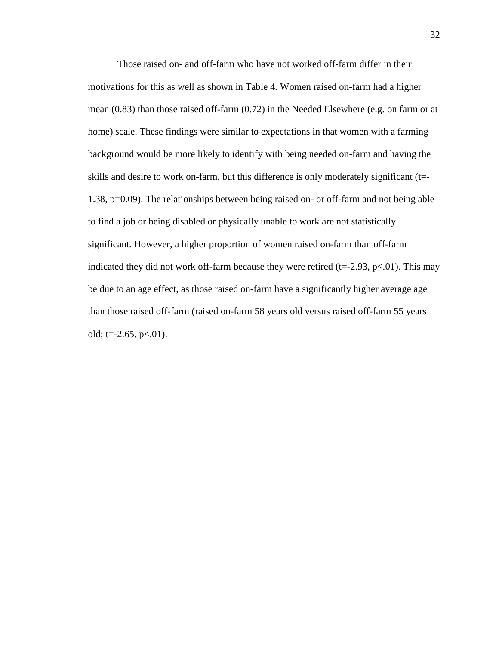Those raised on- and off-farm who have not worked off-farm differ in their motivations for this as well as shown in Table 4. Women raised on-farm had a higher mean (0.83) than those raised off-farm (0.72) in the Needed Elsewhere (e.g. on farm or at home) scale. These findings were similar to expectations in that women with a farming background would be more likely to identify with being needed on-farm and having the skills and desire to work on-farm, but this difference is only moderately significant (t=- 1.38, p=0.09). The relationships between being raised on- or off-farm and not being able to find a job or being disabled or physically unable to work are not statistically significant. However, a higher proportion of women raised on-farm than off-farm indicated they did not work off-farm because they were retired ( $t=2.93$ ,  $p<.01$ ). This may be due to an age effect, as those raised on-farm have a significantly higher average age than those raised off-farm (raised on-farm 58 years old versus raised off-farm 55 years old;  $t = -2.65$ ,  $p < .01$ ).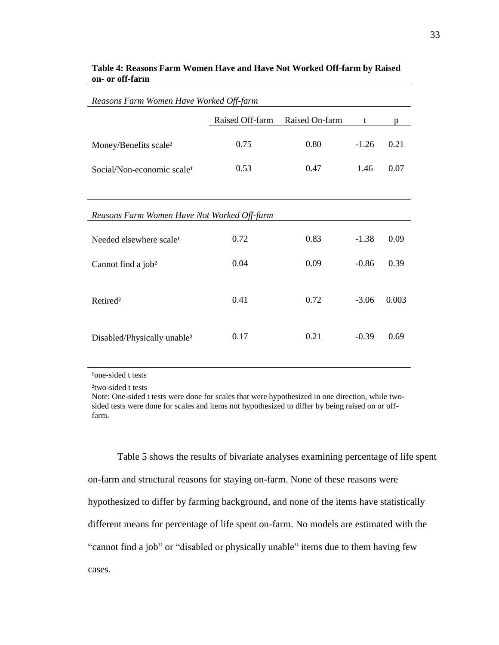| Reasons Farm Women Have Worked Off-farm     |                 |                |         |       |
|---------------------------------------------|-----------------|----------------|---------|-------|
|                                             | Raised Off-farm | Raised On-farm | t       | D     |
| Money/Benefits scale <sup>2</sup>           | 0.75            | 0.80           | $-1.26$ | 0.21  |
| Social/Non-economic scale <sup>1</sup>      | 0.53            | 0.47           | 1.46    | 0.07  |
|                                             |                 |                |         |       |
| Reasons Farm Women Have Not Worked Off-farm |                 |                |         |       |
| Needed elsewhere scale <sup>1</sup>         | 0.72            | 0.83           | $-1.38$ | 0.09  |
| Cannot find a job <sup>2</sup>              | 0.04            | 0.09           | $-0.86$ | 0.39  |
| Retired <sup>2</sup>                        | 0.41            | 0.72           | $-3.06$ | 0.003 |
| Disabled/Physically unable <sup>2</sup>     | 0.17            | 0.21           | $-0.39$ | 0.69  |

## **Table 4: Reasons Farm Women Have and Have Not Worked Off-farm by Raised on- or off-farm**

<sup>1</sup>one-sided t tests

²two-sided t tests

Note: One-sided t tests were done for scales that were hypothesized in one direction, while twosided tests were done for scales and items not hypothesized to differ by being raised on or offfarm.

Table 5 shows the results of bivariate analyses examining percentage of life spent on-farm and structural reasons for staying on-farm. None of these reasons were hypothesized to differ by farming background, and none of the items have statistically different means for percentage of life spent on-farm. No models are estimated with the "cannot find a job" or "disabled or physically unable" items due to them having few cases.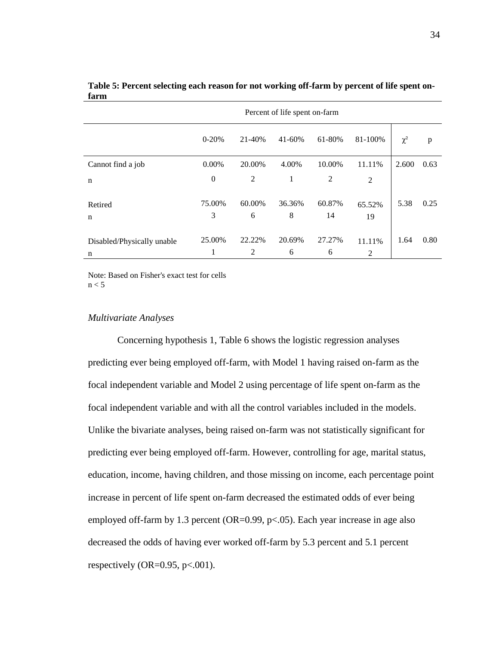|                            | Percent of life spent on-farm |        |        |                |                |          |      |
|----------------------------|-------------------------------|--------|--------|----------------|----------------|----------|------|
|                            | $0-20%$                       | 21-40% | 41-60% | 61-80%         | 81-100%        | $\chi^2$ | p    |
| Cannot find a job          | $0.00\%$                      | 20.00% | 4.00%  | 10.00%         | 11.11%         | 2.600    | 0.63 |
| n                          | $\theta$                      | 2      | 1      | $\overline{2}$ | 2              |          |      |
| Retired                    | 75.00%                        | 60.00% | 36.36% | 60.87%         | 65.52%         | 5.38     | 0.25 |
| n                          | 3                             | 6      | 8      | 14             | 19             |          |      |
| Disabled/Physically unable | 25.00%                        | 22.22% | 20.69% | 27.27%         | 11.11%         | 1.64     | 0.80 |
| n                          | 1                             | 2      | 6      | 6              | $\overline{2}$ |          |      |

**Table 5: Percent selecting each reason for not working off-farm by percent of life spent onfarm**

Note: Based on Fisher's exact test for cells  $n < 5$ 

#### *Multivariate Analyses*

Concerning hypothesis 1, Table 6 shows the logistic regression analyses predicting ever being employed off-farm, with Model 1 having raised on-farm as the focal independent variable and Model 2 using percentage of life spent on-farm as the focal independent variable and with all the control variables included in the models. Unlike the bivariate analyses, being raised on-farm was not statistically significant for predicting ever being employed off-farm. However, controlling for age, marital status, education, income, having children, and those missing on income, each percentage point increase in percent of life spent on-farm decreased the estimated odds of ever being employed off-farm by 1.3 percent ( $OR=0.99$ ,  $p<.05$ ). Each year increase in age also decreased the odds of having ever worked off-farm by 5.3 percent and 5.1 percent respectively (OR=0.95,  $p<.001$ ).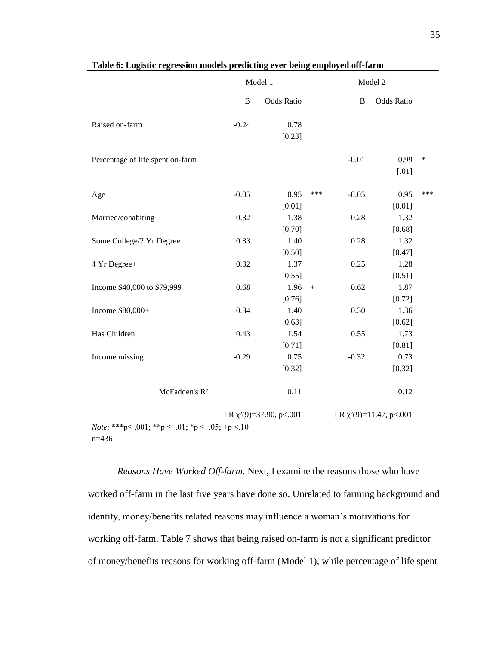|                                                                                 |              | Model 1                       | Model 2          |                            |                               |        |
|---------------------------------------------------------------------------------|--------------|-------------------------------|------------------|----------------------------|-------------------------------|--------|
|                                                                                 | $\, {\bf B}$ | <b>Odds Ratio</b>             |                  | $\, {\bf B}$<br>Odds Ratio |                               |        |
| Raised on-farm                                                                  | $-0.24$      | 0.78<br>[0.23]                |                  |                            |                               |        |
| Percentage of life spent on-farm                                                |              |                               |                  | $-0.01$                    | 0.99<br>$[.01]$               | $\ast$ |
| Age                                                                             | $-0.05$      | 0.95<br>[0.01]                | ***              | $-0.05$                    | 0.95<br>[0.01]                | ***    |
| Married/cohabiting                                                              | 0.32         | 1.38<br>[0.70]                |                  | 0.28                       | 1.32<br>[0.68]                |        |
| Some College/2 Yr Degree                                                        | 0.33         | 1.40<br>[0.50]                |                  | 0.28                       | 1.32<br>[0.47]                |        |
| 4 Yr Degree+                                                                    | 0.32         | 1.37<br>[0.55]                |                  | 0.25                       | 1.28<br>[0.51]                |        |
| Income \$40,000 to \$79,999                                                     | 0.68         | 1.96<br>[0.76]                | $\boldsymbol{+}$ | 0.62                       | 1.87<br>[0.72]                |        |
| Income \$80,000+                                                                | 0.34         | 1.40<br>[0.63]                |                  | 0.30                       | 1.36<br>[0.62]                |        |
| Has Children                                                                    | 0.43         | 1.54<br>[0.71]                |                  | 0.55                       | 1.73<br>[0.81]                |        |
| Income missing                                                                  | $-0.29$      | 0.75<br>[0.32]                |                  | $-0.32$                    | 0.73<br>[0.32]                |        |
| McFadden's R <sup>2</sup>                                                       |              | 0.11                          |                  |                            | 0.12                          |        |
|                                                                                 |              | LR $\chi^2(9)=37.90$ , p<.001 |                  |                            | LR $\chi^2(9)=11.47$ , p<.001 |        |
| <i>Note</i> : ***p $\leq .001$ ; **p $\leq .01$ ; *p $\leq .05$ ; +p $\leq .10$ |              |                               |                  |                            |                               |        |

**Table 6: Logistic regression models predicting ever being employed off-farm**

n=436

*Reasons Have Worked Off-farm.* Next, I examine the reasons those who have worked off-farm in the last five years have done so. Unrelated to farming background and identity, money/benefits related reasons may influence a woman"s motivations for working off-farm. Table 7 shows that being raised on-farm is not a significant predictor of money/benefits reasons for working off-farm (Model 1), while percentage of life spent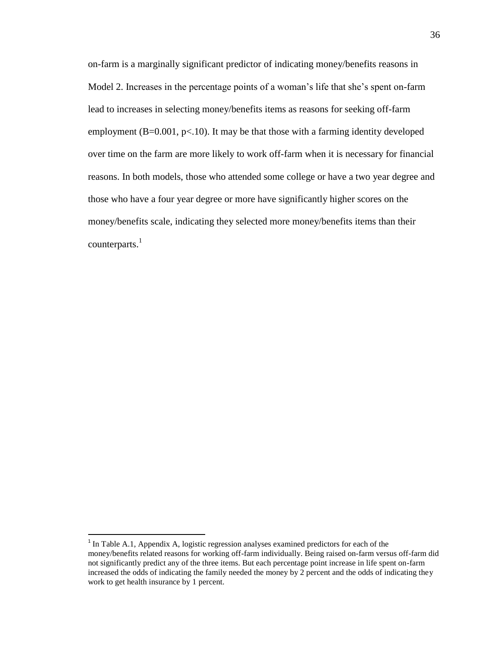on-farm is a marginally significant predictor of indicating money/benefits reasons in Model 2. Increases in the percentage points of a woman's life that she's spent on-farm lead to increases in selecting money/benefits items as reasons for seeking off-farm employment ( $B=0.001$ ,  $p<10$ ). It may be that those with a farming identity developed over time on the farm are more likely to work off-farm when it is necessary for financial reasons. In both models, those who attended some college or have a two year degree and those who have a four year degree or more have significantly higher scores on the money/benefits scale, indicating they selected more money/benefits items than their counterparts.<sup>1</sup>

 $\overline{a}$ 

<sup>&</sup>lt;sup>1</sup> In Table A.1, Appendix A, logistic regression analyses examined predictors for each of the money/benefits related reasons for working off-farm individually. Being raised on-farm versus off-farm did not significantly predict any of the three items. But each percentage point increase in life spent on-farm increased the odds of indicating the family needed the money by 2 percent and the odds of indicating they work to get health insurance by 1 percent.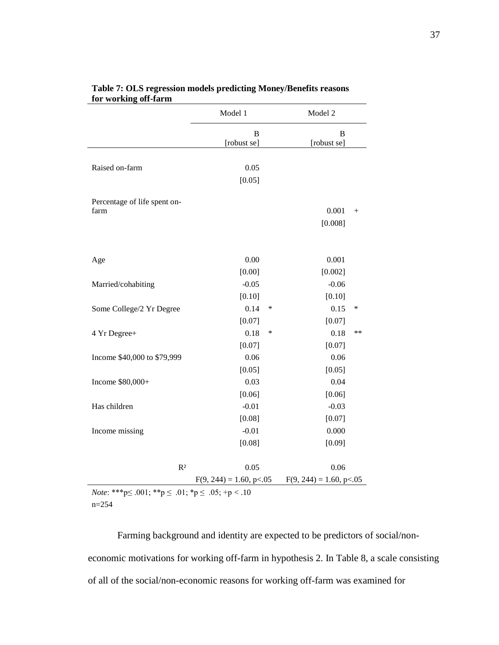|                              | Model 1                    | Model 2 |                            |        |
|------------------------------|----------------------------|---------|----------------------------|--------|
|                              | B                          |         | B                          |        |
|                              | [robust se]                |         | [robust se]                |        |
|                              |                            |         |                            |        |
| Raised on-farm               | 0.05                       |         |                            |        |
|                              | [0.05]                     |         |                            |        |
| Percentage of life spent on- |                            |         |                            |        |
| farm                         |                            |         | 0.001                      | $^{+}$ |
|                              |                            |         | [0.008]                    |        |
|                              |                            |         |                            |        |
|                              |                            |         |                            |        |
| Age                          | 0.00                       |         | 0.001                      |        |
|                              | [0.00]                     |         | [0.002]                    |        |
| Married/cohabiting           | $-0.05$                    |         | $-0.06$                    |        |
|                              | [0.10]                     |         | [0.10]                     |        |
| Some College/2 Yr Degree     | 0.14                       | ∗       | 0.15                       | ∗      |
|                              | [0.07]                     |         | [0.07]                     |        |
| 4 Yr Degree+                 | 0.18                       | ∗       | 0.18                       | $**$   |
|                              | [0.07]                     |         | [0.07]                     |        |
| Income \$40,000 to \$79,999  | 0.06                       |         | 0.06                       |        |
|                              | [0.05]                     |         | [0.05]                     |        |
| Income \$80,000+             | 0.03                       |         | 0.04                       |        |
|                              | [0.06]                     |         | [0.06]                     |        |
| Has children                 | $-0.01$                    |         | $-0.03$                    |        |
|                              | [0.08]                     |         | [0.07]                     |        |
| Income missing               | $-0.01$                    |         | 0.000                      |        |
|                              | [0.08]                     |         | [0.09]                     |        |
|                              |                            |         |                            |        |
| R <sup>2</sup>               | 0.05                       |         | 0.06                       |        |
|                              | $F(9, 244) = 1.60, p<0.05$ |         | $F(9, 244) = 1.60, p<0.05$ |        |

### **Table 7: OLS regression models predicting Money/Benefits reasons for working off-farm**

*Note*: \*\*\*p≤ .001; \*\*p ≤ .01; \*p ≤ .05; +p < .10 n=254

Farming background and identity are expected to be predictors of social/noneconomic motivations for working off-farm in hypothesis 2. In Table 8, a scale consisting of all of the social/non-economic reasons for working off-farm was examined for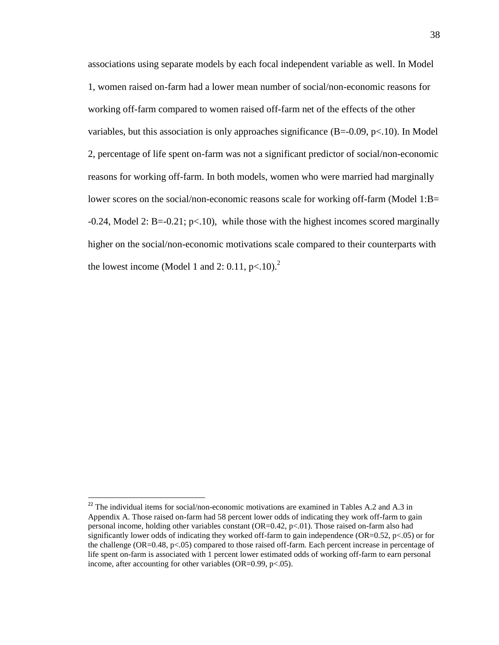associations using separate models by each focal independent variable as well. In Model 1, women raised on-farm had a lower mean number of social/non-economic reasons for working off-farm compared to women raised off-farm net of the effects of the other variables, but this association is only approaches significance  $(B=0.09, p<.10)$ . In Model 2, percentage of life spent on-farm was not a significant predictor of social/non-economic reasons for working off-farm. In both models, women who were married had marginally lower scores on the social/non-economic reasons scale for working off-farm (Model 1:B=  $-0.24$ , Model 2: B= $-0.21$ ; p<.10), while those with the highest incomes scored marginally higher on the social/non-economic motivations scale compared to their counterparts with the lowest income (Model 1 and 2: 0.11,  $p<10$ ).<sup>2</sup>

<sup>&</sup>lt;sup>22</sup> The individual items for social/non-economic motivations are examined in Tables A.2 and A.3 in Appendix A. Those raised on-farm had 58 percent lower odds of indicating they work off-farm to gain personal income, holding other variables constant (OR=0.42, p<.01). Those raised on-farm also had significantly lower odds of indicating they worked off-farm to gain independence (OR=0.52,  $p<0.05$ ) or for the challenge (OR=0.48, p<.05) compared to those raised off-farm. Each percent increase in percentage of life spent on-farm is associated with 1 percent lower estimated odds of working off-farm to earn personal income, after accounting for other variables (OR= $0.99$ , p $<0.05$ ).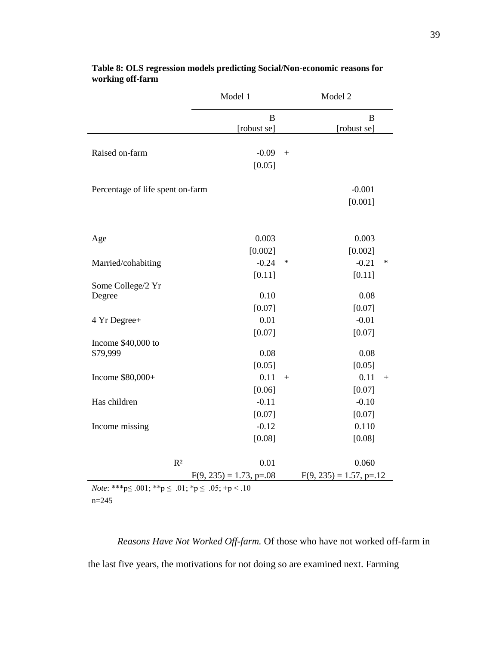|                                                                                 | Model 1                    | Model 2 |                            |     |
|---------------------------------------------------------------------------------|----------------------------|---------|----------------------------|-----|
|                                                                                 | B                          |         | B                          |     |
|                                                                                 | [robust se]                |         | [robust se]                |     |
|                                                                                 |                            |         |                            |     |
| Raised on-farm                                                                  | $-0.09$                    | $+$     |                            |     |
|                                                                                 | [0.05]                     |         |                            |     |
| Percentage of life spent on-farm                                                |                            |         | $-0.001$                   |     |
|                                                                                 |                            |         | [0.001]                    |     |
|                                                                                 |                            |         |                            |     |
|                                                                                 |                            |         |                            |     |
| Age                                                                             | 0.003                      |         | 0.003                      |     |
|                                                                                 | [0.002]                    |         | [0.002]                    |     |
| Married/cohabiting                                                              | $-0.24$                    | ∗       | $-0.21$                    | ∗   |
|                                                                                 | [0.11]                     |         | [0.11]                     |     |
| Some College/2 Yr                                                               |                            |         |                            |     |
| Degree                                                                          | 0.10                       |         | 0.08                       |     |
|                                                                                 | [0.07]                     |         | [0.07]                     |     |
| 4 Yr Degree+                                                                    | 0.01                       |         | $-0.01$                    |     |
|                                                                                 | [0.07]                     |         | [0.07]                     |     |
| Income $$40,000$ to                                                             |                            |         |                            |     |
| \$79,999                                                                        | 0.08                       |         | 0.08                       |     |
|                                                                                 | [0.05]                     |         | [0.05]                     |     |
| Income \$80,000+                                                                | 0.11                       | $+$     | 0.11                       | $+$ |
|                                                                                 | [0.06]                     |         | [0.07]                     |     |
| Has children                                                                    | $-0.11$                    |         | $-0.10$                    |     |
|                                                                                 | [0.07]                     |         | [0.07]                     |     |
| Income missing                                                                  | $-0.12$                    |         | 0.110                      |     |
|                                                                                 | [0.08]                     |         | [0.08]                     |     |
|                                                                                 |                            |         |                            |     |
| $R^2$                                                                           | 0.01                       |         | 0.060                      |     |
|                                                                                 | $F(9, 235) = 1.73$ , p=.08 |         | $F(9, 235) = 1.57$ , p=.12 |     |
| <i>Note</i> : ***p $\leq .001$ ; **p $\leq .01$ ; *p $\leq .05$ ; +p $\leq .10$ |                            |         |                            |     |

| Table 8: OLS regression models predicting Social/Non-economic reasons for |
|---------------------------------------------------------------------------|
| working off-farm                                                          |

*Note*: \*\*\*p≤ .001; \*\*p ≤ .01; \*p ≤ .05; +p < .10 n=245

*Reasons Have Not Worked Off-farm.* Of those who have not worked off-farm in the last five years, the motivations for not doing so are examined next. Farming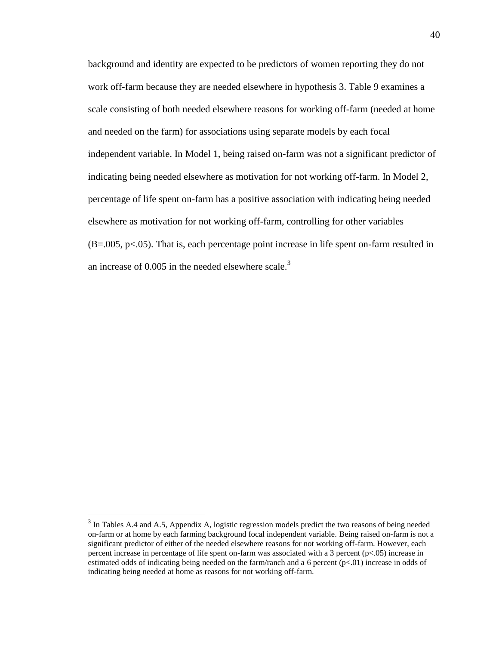background and identity are expected to be predictors of women reporting they do not work off-farm because they are needed elsewhere in hypothesis 3. Table 9 examines a scale consisting of both needed elsewhere reasons for working off-farm (needed at home and needed on the farm) for associations using separate models by each focal independent variable. In Model 1, being raised on-farm was not a significant predictor of indicating being needed elsewhere as motivation for not working off-farm. In Model 2, percentage of life spent on-farm has a positive association with indicating being needed elsewhere as motivation for not working off-farm, controlling for other variables (B=.005, p<.05). That is, each percentage point increase in life spent on-farm resulted in an increase of  $0.005$  in the needed elsewhere scale.<sup>3</sup>

 $\overline{\phantom{a}}$ 

 $3$  In Tables A.4 and A.5, Appendix A, logistic regression models predict the two reasons of being needed on-farm or at home by each farming background focal independent variable. Being raised on-farm is not a significant predictor of either of the needed elsewhere reasons for not working off-farm. However, each percent increase in percentage of life spent on-farm was associated with a 3 percent (p<.05) increase in estimated odds of indicating being needed on the farm/ranch and a 6 percent (p<.01) increase in odds of indicating being needed at home as reasons for not working off-farm.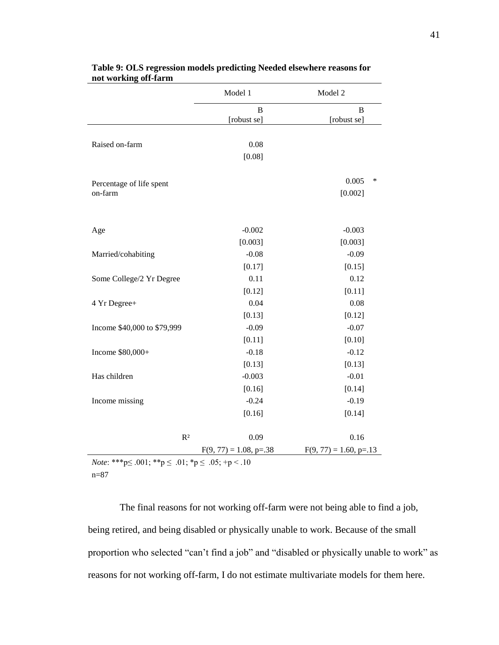|                                     | Model 1                   | Model 2                  |
|-------------------------------------|---------------------------|--------------------------|
|                                     | B<br>[robust se]          | B<br>[robust se]         |
|                                     |                           |                          |
| Raised on-farm                      | 0.08                      |                          |
|                                     | [0.08]                    |                          |
|                                     |                           | 0.005<br>∗               |
| Percentage of life spent<br>on-farm |                           | [0.002]                  |
|                                     |                           |                          |
|                                     |                           |                          |
| Age                                 | $-0.002$                  | $-0.003$                 |
|                                     | [0.003]                   | [0.003]                  |
| Married/cohabiting                  | $-0.08$                   | $-0.09$                  |
|                                     | [0.17]                    | [0.15]                   |
| Some College/2 Yr Degree            | 0.11                      | 0.12                     |
|                                     | [0.12]                    | [0.11]                   |
| 4 Yr Degree+                        | 0.04                      | 0.08                     |
|                                     | [0.13]                    | [0.12]                   |
| Income \$40,000 to \$79,999         | $-0.09$                   | $-0.07$                  |
|                                     | [0.11]                    | [0.10]                   |
| Income \$80,000+                    | $-0.18$                   | $-0.12$                  |
|                                     | [0.13]                    | [0.13]                   |
| Has children                        | $-0.003$                  | $-0.01$                  |
|                                     | [0.16]                    | [0.14]                   |
| Income missing                      | $-0.24$                   | $-0.19$                  |
|                                     | [0.16]                    | [0.14]                   |
| R <sup>2</sup>                      | 0.09                      | 0.16                     |
|                                     |                           | $F(9, 77) = 1.60, p=.13$ |
|                                     | $F(9, 77) = 1.08$ , p=.38 |                          |

#### **Table 9: OLS regression models predicting Needed elsewhere reasons for not working off-farm**

*Note*: \*\*\*p≤ .001; \*\*p ≤ .01; \*p ≤ .05; +p < .10 n=87

The final reasons for not working off-farm were not being able to find a job, being retired, and being disabled or physically unable to work. Because of the small proportion who selected "can"t find a job" and "disabled or physically unable to work" as reasons for not working off-farm, I do not estimate multivariate models for them here.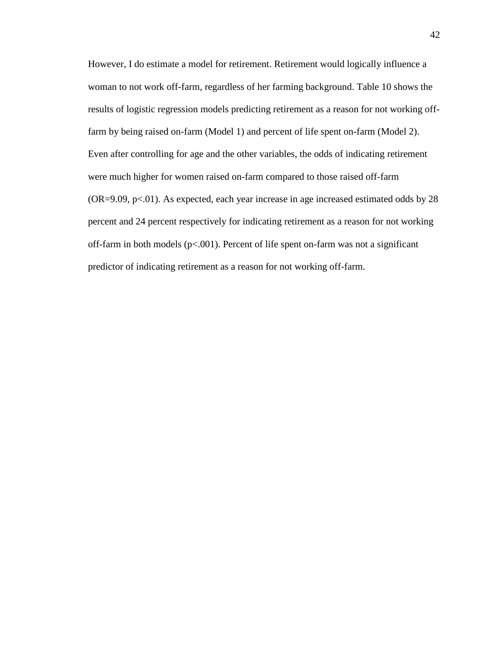However, I do estimate a model for retirement. Retirement would logically influence a woman to not work off-farm, regardless of her farming background. Table 10 shows the results of logistic regression models predicting retirement as a reason for not working offfarm by being raised on-farm (Model 1) and percent of life spent on-farm (Model 2). Even after controlling for age and the other variables, the odds of indicating retirement were much higher for women raised on-farm compared to those raised off-farm  $(OR=9.09, p<.01)$ . As expected, each year increase in age increased estimated odds by 28 percent and 24 percent respectively for indicating retirement as a reason for not working off-farm in both models ( $p<0.001$ ). Percent of life spent on-farm was not a significant predictor of indicating retirement as a reason for not working off-farm.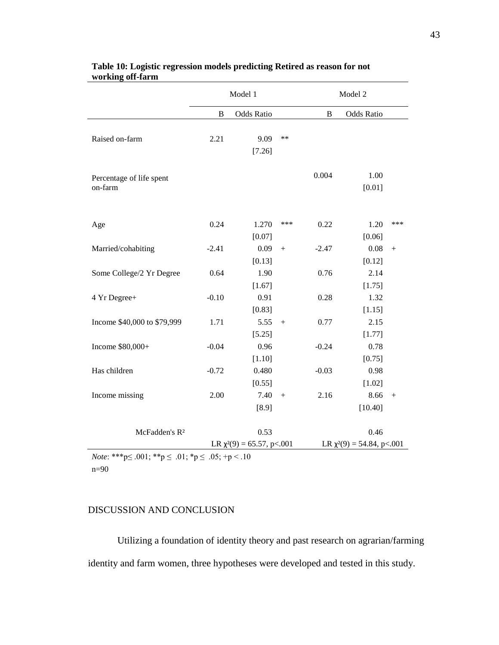|                                                                                       |         | Model 1                                 |        |         | Model 2                                 |     |
|---------------------------------------------------------------------------------------|---------|-----------------------------------------|--------|---------|-----------------------------------------|-----|
|                                                                                       | B       | <b>Odds Ratio</b>                       |        | B       | <b>Odds Ratio</b>                       |     |
| Raised on-farm                                                                        | 2.21    | 9.09<br>[7.26]                          | $**$   |         |                                         |     |
| Percentage of life spent<br>on-farm                                                   |         |                                         |        | 0.004   | 1.00<br>[0.01]                          |     |
| Age                                                                                   | 0.24    | 1.270<br>[0.07]                         | ***    | 0.22    | 1.20<br>[0.06]                          | *** |
| Married/cohabiting                                                                    | $-2.41$ | 0.09<br>[0.13]                          | $^{+}$ | $-2.47$ | 0.08<br>[0.12]                          | $+$ |
| Some College/2 Yr Degree                                                              | 0.64    | 1.90                                    |        | 0.76    | 2.14                                    |     |
| 4 Yr Degree+                                                                          | $-0.10$ | [1.67]<br>0.91<br>[0.83]                |        | 0.28    | [1.75]<br>1.32<br>[1.15]                |     |
| Income \$40,000 to \$79,999                                                           | 1.71    | 5.55<br>[5.25]                          | $+$    | 0.77    | 2.15<br>[1.77]                          |     |
| Income \$80,000+                                                                      | $-0.04$ | 0.96<br>[1.10]                          |        | $-0.24$ | 0.78<br>[0.75]                          |     |
| Has children                                                                          | $-0.72$ | 0.480<br>[0.55]                         |        | $-0.03$ | 0.98<br>[1.02]                          |     |
| Income missing                                                                        | 2.00    | 7.40<br>$[8.9]$                         | $^{+}$ | 2.16    | 8.66<br>[10.40]                         |     |
| McFadden's R <sup>2</sup>                                                             |         | 0.53<br>LR $\chi^2(9) = 65.57$ , p<.001 |        |         | 0.46<br>LR $\chi^2(9) = 54.84$ , p<.001 |     |
| $N_{\alpha}$ *** $\sim 0.01 \cdot$ ** $\sim 0.1 \cdot$ * $\sim 0.5 \cdot$ + $\sim 10$ |         |                                         |        |         |                                         |     |

#### **Table 10: Logistic regression models predicting Retired as reason for not working off-farm**

*Note*: \*\*\*p $\leq .001$ ; \*\*p $\leq .01$ ; \*p $\leq .05$ ; +p $\leq .10$ n=90

# DISCUSSION AND CONCLUSION

Utilizing a foundation of identity theory and past research on agrarian/farming identity and farm women, three hypotheses were developed and tested in this study.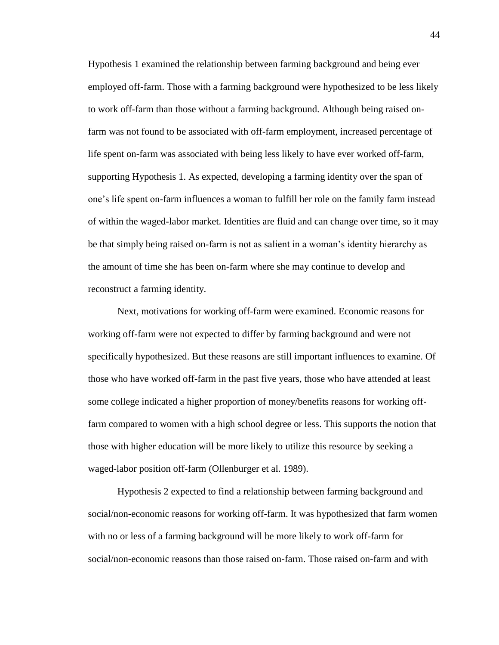Hypothesis 1 examined the relationship between farming background and being ever employed off-farm. Those with a farming background were hypothesized to be less likely to work off-farm than those without a farming background. Although being raised onfarm was not found to be associated with off-farm employment, increased percentage of life spent on-farm was associated with being less likely to have ever worked off-farm, supporting Hypothesis 1. As expected, developing a farming identity over the span of one"s life spent on-farm influences a woman to fulfill her role on the family farm instead of within the waged-labor market. Identities are fluid and can change over time, so it may be that simply being raised on-farm is not as salient in a woman"s identity hierarchy as the amount of time she has been on-farm where she may continue to develop and reconstruct a farming identity.

Next, motivations for working off-farm were examined. Economic reasons for working off-farm were not expected to differ by farming background and were not specifically hypothesized. But these reasons are still important influences to examine. Of those who have worked off-farm in the past five years, those who have attended at least some college indicated a higher proportion of money/benefits reasons for working offfarm compared to women with a high school degree or less. This supports the notion that those with higher education will be more likely to utilize this resource by seeking a waged-labor position off-farm (Ollenburger et al. 1989).

Hypothesis 2 expected to find a relationship between farming background and social/non-economic reasons for working off-farm. It was hypothesized that farm women with no or less of a farming background will be more likely to work off-farm for social/non-economic reasons than those raised on-farm. Those raised on-farm and with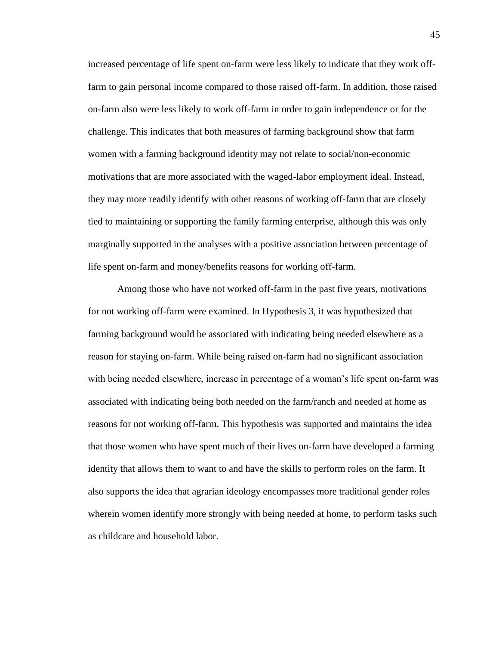increased percentage of life spent on-farm were less likely to indicate that they work offfarm to gain personal income compared to those raised off-farm. In addition, those raised on-farm also were less likely to work off-farm in order to gain independence or for the challenge. This indicates that both measures of farming background show that farm women with a farming background identity may not relate to social/non-economic motivations that are more associated with the waged-labor employment ideal. Instead, they may more readily identify with other reasons of working off-farm that are closely tied to maintaining or supporting the family farming enterprise, although this was only marginally supported in the analyses with a positive association between percentage of life spent on-farm and money/benefits reasons for working off-farm.

Among those who have not worked off-farm in the past five years, motivations for not working off-farm were examined. In Hypothesis 3, it was hypothesized that farming background would be associated with indicating being needed elsewhere as a reason for staying on-farm. While being raised on-farm had no significant association with being needed elsewhere, increase in percentage of a woman's life spent on-farm was associated with indicating being both needed on the farm/ranch and needed at home as reasons for not working off-farm. This hypothesis was supported and maintains the idea that those women who have spent much of their lives on-farm have developed a farming identity that allows them to want to and have the skills to perform roles on the farm. It also supports the idea that agrarian ideology encompasses more traditional gender roles wherein women identify more strongly with being needed at home, to perform tasks such as childcare and household labor.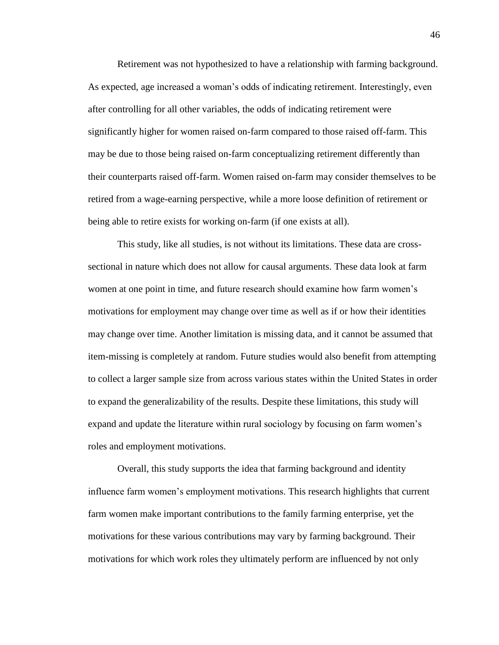Retirement was not hypothesized to have a relationship with farming background. As expected, age increased a woman"s odds of indicating retirement. Interestingly, even after controlling for all other variables, the odds of indicating retirement were significantly higher for women raised on-farm compared to those raised off-farm. This may be due to those being raised on-farm conceptualizing retirement differently than their counterparts raised off-farm. Women raised on-farm may consider themselves to be retired from a wage-earning perspective, while a more loose definition of retirement or being able to retire exists for working on-farm (if one exists at all).

This study, like all studies, is not without its limitations. These data are crosssectional in nature which does not allow for causal arguments. These data look at farm women at one point in time, and future research should examine how farm women"s motivations for employment may change over time as well as if or how their identities may change over time. Another limitation is missing data, and it cannot be assumed that item-missing is completely at random. Future studies would also benefit from attempting to collect a larger sample size from across various states within the United States in order to expand the generalizability of the results. Despite these limitations, this study will expand and update the literature within rural sociology by focusing on farm women"s roles and employment motivations.

Overall, this study supports the idea that farming background and identity influence farm women"s employment motivations. This research highlights that current farm women make important contributions to the family farming enterprise, yet the motivations for these various contributions may vary by farming background. Their motivations for which work roles they ultimately perform are influenced by not only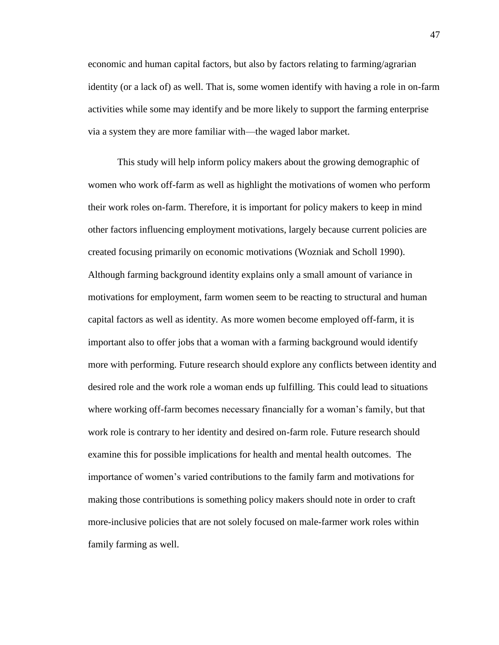economic and human capital factors, but also by factors relating to farming/agrarian identity (or a lack of) as well. That is, some women identify with having a role in on-farm activities while some may identify and be more likely to support the farming enterprise via a system they are more familiar with—the waged labor market.

This study will help inform policy makers about the growing demographic of women who work off-farm as well as highlight the motivations of women who perform their work roles on-farm. Therefore, it is important for policy makers to keep in mind other factors influencing employment motivations, largely because current policies are created focusing primarily on economic motivations (Wozniak and Scholl 1990). Although farming background identity explains only a small amount of variance in motivations for employment, farm women seem to be reacting to structural and human capital factors as well as identity. As more women become employed off-farm, it is important also to offer jobs that a woman with a farming background would identify more with performing. Future research should explore any conflicts between identity and desired role and the work role a woman ends up fulfilling. This could lead to situations where working off-farm becomes necessary financially for a woman's family, but that work role is contrary to her identity and desired on-farm role. Future research should examine this for possible implications for health and mental health outcomes. The importance of women"s varied contributions to the family farm and motivations for making those contributions is something policy makers should note in order to craft more-inclusive policies that are not solely focused on male-farmer work roles within family farming as well.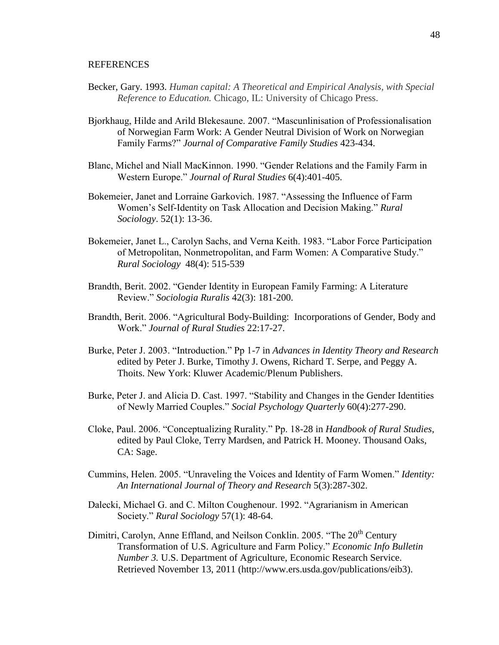#### REFERENCES

- Becker, Gary. 1993. *Human capital: A Theoretical and Empirical Analysis, with Special Reference to Education.* Chicago, IL: University of Chicago Press.
- Bjorkhaug, Hilde and Arild Blekesaune. 2007. "Mascunlinisation of Professionalisation of Norwegian Farm Work: A Gender Neutral Division of Work on Norwegian Family Farms?" *Journal of Comparative Family Studies* 423-434.
- Blanc, Michel and Niall MacKinnon. 1990. "Gender Relations and the Family Farm in Western Europe." *Journal of Rural Studies* 6(4):401-405.
- Bokemeier, Janet and Lorraine Garkovich. 1987. "Assessing the Influence of Farm Women"s Self-Identity on Task Allocation and Decision Making." *Rural Sociology*. 52(1): 13-36.
- Bokemeier, Janet L., Carolyn Sachs, and Verna Keith. 1983. "Labor Force Participation of Metropolitan, Nonmetropolitan, and Farm Women: A Comparative Study." *Rural Sociology* 48(4): 515-539
- Brandth, Berit. 2002. "Gender Identity in European Family Farming: A Literature Review." *Sociologia Ruralis* 42(3): 181-200.
- Brandth, Berit. 2006. "Agricultural Body-Building: Incorporations of Gender, Body and Work." *Journal of Rural Studies* 22:17-27.
- Burke, Peter J. 2003. "Introduction." Pp 1-7 in *Advances in Identity Theory and Research*  edited by Peter J. Burke, Timothy J. Owens, Richard T. Serpe, and Peggy A. Thoits. New York: Kluwer Academic/Plenum Publishers.
- Burke, Peter J. and Alicia D. Cast. 1997. "Stability and Changes in the Gender Identities of Newly Married Couples." *Social Psychology Quarterly* 60(4):277-290.
- Cloke, Paul. 2006. "Conceptualizing Rurality." Pp. 18-28 in *Handbook of Rural Studies*, edited by Paul Cloke, Terry Mardsen, and Patrick H. Mooney. Thousand Oaks, CA: Sage.
- Cummins, Helen. 2005. "Unraveling the Voices and Identity of Farm Women." *Identity: An International Journal of Theory and Research* 5(3):287-302.
- Dalecki, Michael G. and C. Milton Coughenour. 1992. "Agrarianism in American Society." *Rural Sociology* 57(1): 48-64.
- Dimitri, Carolyn, Anne Effland, and Neilson Conklin. 2005. "The 20<sup>th</sup> Century Transformation of U.S. Agriculture and Farm Policy." *Economic Info Bulletin Number 3.* U.S. Department of Agriculture, Economic Research Service. Retrieved November 13, 2011 (http://www.ers.usda.gov/publications/eib3).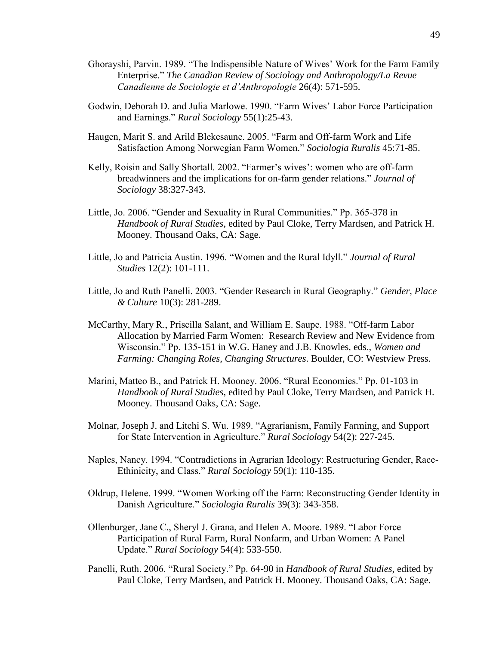- Ghorayshi, Parvin. 1989. "The Indispensible Nature of Wives" Work for the Farm Family Enterprise." *The Canadian Review of Sociology and Anthropology/La Revue Canadienne de Sociologie et d'Anthropologie* 26(4): 571-595.
- Godwin, Deborah D. and Julia Marlowe. 1990. "Farm Wives" Labor Force Participation and Earnings." *Rural Sociology* 55(1):25-43.
- Haugen, Marit S. and Arild Blekesaune. 2005. "Farm and Off-farm Work and Life Satisfaction Among Norwegian Farm Women." *Sociologia Ruralis* 45:71-85.
- Kelly, Roisin and Sally Shortall. 2002. "Farmer's wives': women who are off-farm breadwinners and the implications for on-farm gender relations." *Journal of Sociology* 38:327-343.
- Little, Jo. 2006. "Gender and Sexuality in Rural Communities." Pp. 365-378 in *Handbook of Rural Studies*, edited by Paul Cloke, Terry Mardsen, and Patrick H. Mooney. Thousand Oaks, CA: Sage.
- Little, Jo and Patricia Austin. 1996. "Women and the Rural Idyll." *Journal of Rural Studies* 12(2): 101-111.
- Little, Jo and Ruth Panelli. 2003. "Gender Research in Rural Geography." *Gender, Place & Culture* 10(3): 281-289.
- McCarthy, Mary R., Priscilla Salant, and William E. Saupe. 1988. "Off-farm Labor Allocation by Married Farm Women: Research Review and New Evidence from Wisconsin." Pp. 135-151 in W.G. Haney and J.B. Knowles, eds., *Women and Farming: Changing Roles, Changing Structures*. Boulder, CO: Westview Press.
- Marini, Matteo B., and Patrick H. Mooney. 2006. "Rural Economies." Pp. 01-103 in *Handbook of Rural Studies*, edited by Paul Cloke, Terry Mardsen, and Patrick H. Mooney. Thousand Oaks, CA: Sage.
- Molnar, Joseph J. and Litchi S. Wu. 1989. "Agrarianism, Family Farming, and Support for State Intervention in Agriculture." *Rural Sociology* 54(2): 227-245.
- Naples, Nancy. 1994. "Contradictions in Agrarian Ideology: Restructuring Gender, Race-Ethinicity, and Class." *Rural Sociology* 59(1): 110-135.
- Oldrup, Helene. 1999. "Women Working off the Farm: Reconstructing Gender Identity in Danish Agriculture." *Sociologia Ruralis* 39(3): 343-358.
- Ollenburger, Jane C., Sheryl J. Grana, and Helen A. Moore. 1989. "Labor Force Participation of Rural Farm, Rural Nonfarm, and Urban Women: A Panel Update." *Rural Sociology* 54(4): 533-550.
- Panelli, Ruth. 2006. "Rural Society." Pp. 64-90 in *Handbook of Rural Studies*, edited by Paul Cloke, Terry Mardsen, and Patrick H. Mooney. Thousand Oaks, CA: Sage.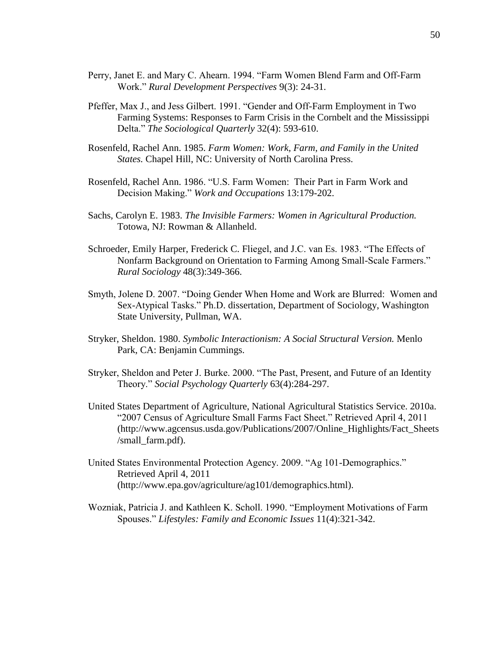- Perry, Janet E. and Mary C. Ahearn. 1994. "Farm Women Blend Farm and Off-Farm Work." *Rural Development Perspectives* 9(3): 24-31.
- Pfeffer, Max J., and Jess Gilbert. 1991. "Gender and Off-Farm Employment in Two Farming Systems: Responses to Farm Crisis in the Cornbelt and the Mississippi Delta." *The Sociological Quarterly* 32(4): 593-610.
- Rosenfeld, Rachel Ann. 1985. *Farm Women: Work, Farm, and Family in the United States.* Chapel Hill, NC: University of North Carolina Press.
- Rosenfeld, Rachel Ann. 1986. "U.S. Farm Women: Their Part in Farm Work and Decision Making." *Work and Occupations* 13:179-202.
- Sachs, Carolyn E. 1983. *The Invisible Farmers: Women in Agricultural Production.*  Totowa, NJ: Rowman & Allanheld.
- Schroeder, Emily Harper, Frederick C. Fliegel, and J.C. van Es. 1983. "The Effects of Nonfarm Background on Orientation to Farming Among Small-Scale Farmers." *Rural Sociology* 48(3):349-366.
- Smyth, Jolene D. 2007. "Doing Gender When Home and Work are Blurred: Women and Sex-Atypical Tasks." Ph.D. dissertation, Department of Sociology, Washington State University, Pullman, WA.
- Stryker, Sheldon. 1980. *Symbolic Interactionism: A Social Structural Version.* Menlo Park, CA: Benjamin Cummings.
- Stryker, Sheldon and Peter J. Burke. 2000. "The Past, Present, and Future of an Identity Theory." *Social Psychology Quarterly* 63(4):284-297.
- United States Department of Agriculture, National Agricultural Statistics Service. 2010a. "2007 Census of Agriculture Small Farms Fact Sheet." Retrieved April 4, 2011 (http://www.agcensus.usda.gov/Publications/2007/Online\_Highlights/Fact\_Sheets /small\_farm.pdf).
- United States Environmental Protection Agency. 2009. "Ag 101-Demographics." Retrieved April 4, 2011 [\(http://www.epa.gov/agriculture/ag101/demographics.html\)](http://www.epa.gov/agriculture/ag101/demographics.html).
- Wozniak, Patricia J. and Kathleen K. Scholl. 1990. "Employment Motivations of Farm Spouses." *Lifestyles: Family and Economic Issues* 11(4):321-342.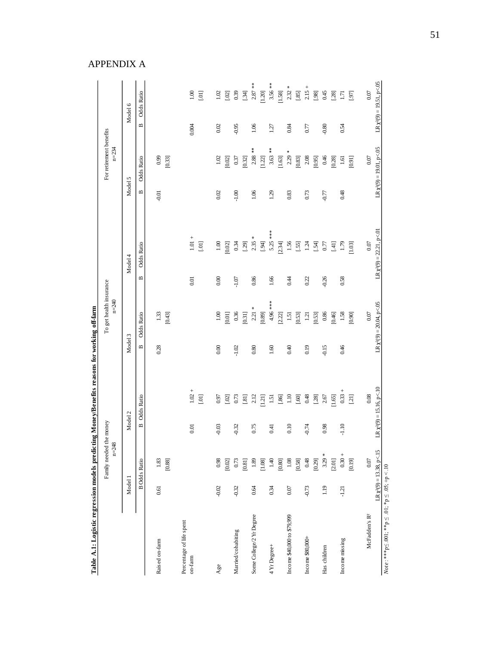| Table A.1: Logistic regression models predicting Money/Benefits reasons for working off-farm |         |                                      |                    |                                |                    |                                      |              |                                             |              |                                      |              |                                |
|----------------------------------------------------------------------------------------------|---------|--------------------------------------|--------------------|--------------------------------|--------------------|--------------------------------------|--------------|---------------------------------------------|--------------|--------------------------------------|--------------|--------------------------------|
|                                                                                              |         | Family needed the money<br>$n = 248$ |                    |                                |                    | To get health insurance<br>$n = 240$ |              |                                             |              | For retirement benefits<br>$n = 234$ |              |                                |
|                                                                                              | Model 1 |                                      | Model <sub>2</sub> |                                | Model <sub>3</sub> |                                      |              | Model 4                                     | Model 5      |                                      |              | Model 6                        |
|                                                                                              |         | <b>B</b> Odds Ratio                  | $\mathbf{r}$       | Odds Ratio                     | $\mathbf{m}$       | Odds Ratio                           | $\mathbf{m}$ | <b>Odds Ratio</b>                           | $\mathbf{m}$ | <b>Odds Ratio</b>                    | $\mathbf{m}$ | <b>Odds Ratio</b>              |
| Raised on-farm                                                                               | 0.61    | 1.83<br>[0.88]                       |                    |                                | 0.28               | $1.33\,$<br>[0.43]                   |              |                                             | $-0.01$      | 0.99<br>[0.33]                       |              |                                |
| Percentage of life spent<br>on-farm                                                          |         |                                      | 0.01               | $1.02 +$<br>$[.01]$            |                    |                                      | 0.01         | $1.01 +$<br>$[10]$                          |              |                                      | 0.004        | $1.00\,$<br>$[10]$             |
|                                                                                              |         |                                      |                    |                                |                    |                                      |              |                                             |              |                                      |              |                                |
| Age                                                                                          | $-0.02$ | 0.98<br>[0.02]                       | $-0.03$            | 0.97<br>$[.02]$                | 0.00               | $1.00\,$<br>[10.0]                   | 0.00         | $1.00\,$<br>0.02                            | 0.02         | $1.02$<br>[0.02]                     | 0.02         | 1.02<br>$[.02]$                |
| Married/cohabiting                                                                           | $-0.32$ | 0.73                                 | $-0.32$            | 0.73                           | $-1.02$            | 0.36                                 | $-1.07$      | 0.34                                        | $-1.00$      | 0.37                                 | $-0.95$      | 0.39                           |
|                                                                                              |         | $[0.81]$                             |                    | [3]                            |                    | 0.31]                                |              | [.29]                                       |              | [0.32]                               |              | $[34]$                         |
| Some College/2 Yr Degree                                                                     | 0.64    | $1.89\,$                             | 0.75               | 2.12                           | 0.80               | 2.21                                 | 0.86         | ⋇<br>2.35                                   | 1.06         | $2.88***$                            | 1.06         | $2.87$ **                      |
|                                                                                              |         | $[1.08]$                             |                    | 1.21                           |                    | [680]                                |              | [94]                                        |              | $[1.22]$                             |              | [1.20]                         |
| 4 Yr Degree+                                                                                 | 0.34    | 1.40                                 | 0.41               | $1.51\,$                       | 1.60               | 4.96 ***                             | 1.66         | $5.25***$                                   | 1.29         | $3.63***$                            | 1.27         | $3.56$ **                      |
|                                                                                              |         | $\left[ 0.80\right]$                 |                    | $\left[ .86\right]$            |                    | $[2.22]$                             |              | [2.34]                                      |              | $[1.63]$                             |              | $\left[1.58\right]$            |
| Income \$40,000 to \$79,999                                                                  | 0.07    | $1.08\,$                             | 0.10               | $1.10\,$                       | 0.40               | $1.51\,$                             | 0.44         | 1.56                                        | 0.83         | 2.29                                 | 0.84         | $2.32 *$                       |
|                                                                                              |         | [0.58]                               |                    | $\left[ .60\right]$            |                    | [0.53]                               |              | [.55]                                       |              | $\left[ 0.83\right]$                 |              | $[.85]$                        |
| Income \$80,000+                                                                             | $-0.73$ | $0.48\,$                             | $-0.74$            | 0.48                           | 0.19               | 1.21                                 | 0.22         | 1.24                                        | 0.73         | $2.08$                               | 0.77         | $2.15 +$                       |
|                                                                                              |         | [0.29]                               |                    | $[.28]$                        |                    | [0.53]                               |              | $[54]$                                      |              | [0.95]                               |              | [.98]                          |
| Has children                                                                                 | 1.19    | $3.29 *$                             | 0.98               | 2.67                           | 0.15               | $0.86\,$                             | $-0.26$      | $0.77$                                      | $-0.77$      | $0.46$                               | $-0.80$      | 0.45                           |
|                                                                                              |         | [2.01]                               |                    | 1.65                           |                    | [0.46]                               |              | $\begin{array}{c} 1.41 \\ 1.40 \end{array}$ |              | [0.28]                               |              | $[.28]$                        |
| Income missing                                                                               | $-1.21$ | $0.30 +$                             | $-1.10$            | $0.33 +$                       | 0.46               | 1.58                                 | 0.58         | 1.79                                        | 0.48         | 1.61                                 | 0.54         | $1.71\,$                       |
|                                                                                              |         | [0.19]                               |                    | $[21]$                         |                    | [0.90]                               |              | 1.03]                                       |              | [160]                                |              | $\left[ .97\right]$            |
| McFadden's R <sup>2</sup>                                                                    |         | $0.07\,$                             |                    | 0.08                           |                    | 0.07                                 |              | $0.07$                                      |              | 0.07                                 |              | 0.07                           |
|                                                                                              |         | $LR \chi^2(9) = 13.38$ , p<.15       |                    | $LR \chi^2(9) = 15.16, p < 10$ |                    | LR $\chi^2(9) = 20.04$ , p<.05       |              | $LR \chi^2(9) = 22.21, p < 01$              |              | $LR \chi^2(9) = 19.01, p < 05$       |              | $LR \chi^2(9) = 19.51, p < 05$ |
| $Note: **p \le .001; **p \le .01; *p \le .05; +p < .10$                                      |         |                                      |                    |                                |                    |                                      |              |                                             |              |                                      |              |                                |

Table A.1: Logistic regression models predicting Money/Benefits reasons for working off-farm

APPENDIX A

*Note* : \*\*\*p≤ .001; \*\*p ≤ .01; \*p ≤ .05; +p < .10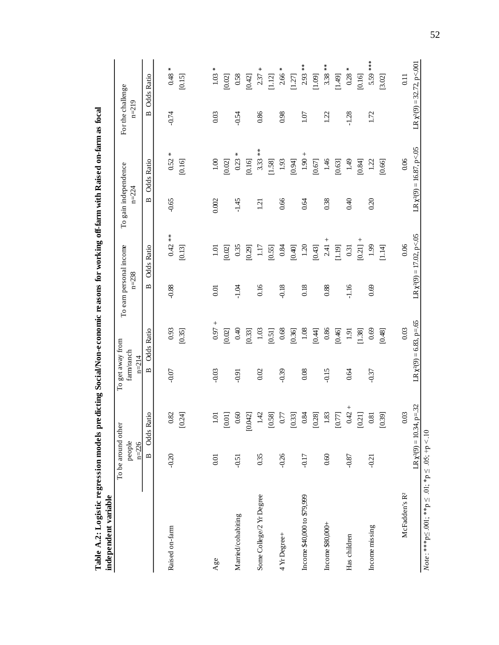| Table A.2: Logistic regression models predicting Social/Non-economic reasons for working off-farm with Raised on-farm as focal<br>independent variable |                                           |                                                    |                                             |                                       |                                      |                                        |                                   |                                       |                                |                                         |
|--------------------------------------------------------------------------------------------------------------------------------------------------------|-------------------------------------------|----------------------------------------------------|---------------------------------------------|---------------------------------------|--------------------------------------|----------------------------------------|-----------------------------------|---------------------------------------|--------------------------------|-----------------------------------------|
|                                                                                                                                                        | To be around other<br>people<br>$n = 226$ |                                                    | To get away from<br>farm/ranch<br>$n = 214$ |                                       | To earn personal income<br>$n = 238$ |                                        | To gain independence<br>$n = 224$ |                                       | For the challenge<br>$n = 219$ |                                         |
|                                                                                                                                                        | $\mathbf{\underline{\underline{\omega}}}$ | <b>Odds Ratio</b>                                  | $\mathbf{\underline{m}}$                    | <b>Odds Ratio</b>                     | $\mathbf{\underline{m}}$             | <b>Odds Ratio</b>                      | $\mathbf{\underline{m}}$          | <b>Odds Ratio</b>                     | $\mathbf{p}$                   | <b>Odds Ratio</b>                       |
| Raised on-farm                                                                                                                                         | $-0.20$                                   | 82<br>[0.24]<br>$\circ$                            | $-0.07$                                     | 0.93<br>[0.35]                        | $-0.88$                              | $\overset{*}{*}$<br>0.42<br>[0.13]     | $-0.65$                           | $\ast$<br>0.52<br>[0.16]              | $-0.74$                        | ∗<br>0.48<br>[0.15]                     |
| Age                                                                                                                                                    | 0.01                                      | [0.01]<br>S                                        | $-0.03$                                     | 0.97<br>[0.02]                        | 0.01                                 | 0.02<br>1.01                           | 0.002                             | 0.10<br>[0.02]                        | 0.03                           | ∗<br>1.03<br>[0.02]                     |
| Married/cohabiting                                                                                                                                     | $-0.51$                                   | $\mathcal{S}$<br>$\overline{2}$<br>$\circ$<br>0.04 | $-0.91$                                     | 0.40<br>[0.33]                        | $-1.04$                              | 0.35<br>[0.29]                         | $-1.45$                           | $\star$<br>0.23<br>0.16               | $-0.54$                        | $0.58\,$<br>[0.42]                      |
| Some College/2 Yr Degree                                                                                                                               | 0.35                                      | 1.42<br>$\left[ 0.58\right]$                       | 0.02                                        | 1.03<br>[0.51]                        | 0.16                                 | 1.17<br>[0.55]                         | $\overline{2}$                    | $\frac{*}{*}$<br>3.33<br>[1.58]       | 0.86                           | $2.37 +$<br>1.12                        |
| 4 Yr Degree+                                                                                                                                           | $-0.26$                                   | $0.77\,$<br>[0.33]                                 | $-0.39$                                     | 0.68<br>0.36                          | $-0.18$                              | 0.84<br>[0.40]                         | 0.66                              | 1.93<br>[0.94]                        | 0.98                           | ₩<br>2.66<br>[1.27]                     |
| Income \$40,000 to \$79,999                                                                                                                            | $-0.17$                                   | $\mathfrak{B}$<br>[0.28]<br>$\circ$                | 0.08                                        | 1.08<br>0.44]                         | 0.18                                 | $1.20\,$<br>[0.43]                     | 0.64                              | $^{+}$<br>1.90<br>[0.67]              | 1.07                           | $*$<br>2.93<br>[1.09]                   |
| Income \$80,000+                                                                                                                                       | 0.60                                      | 83<br>$[0.77]$<br>$\overline{a}$                   | $-0.15$                                     | $0.86\,$<br>0.46                      | 0.88                                 | 2.41<br>[1.19]                         | 0.38                              | 1.46<br>[0.63]                        | 1.22                           | $3.38***$<br>[1.49]                     |
| Has children                                                                                                                                           | $-0.87$                                   | $^{+}$<br>0.42<br>[0.21]                           | 0.64                                        | 1.91<br>1.38                          | $-1.16$                              | [0.21]<br>0.31                         | 0.40                              | 49<br>0.84                            | $-1.28$                        | ∗<br>0.28<br>0.16                       |
| Income missing                                                                                                                                         | $-0.21$                                   | [0.39]<br>$\overline{8}$<br>$\circ$                | $-0.37$                                     | 0.69<br>[0.48]                        | 0.69                                 | 1.99<br>1.14                           | 0.20                              | 1.22<br>[0.66]                        | 1.72                           | 5.59 ***<br>[3.02]                      |
| McFadden's R2                                                                                                                                          | $LR \chi^2(9) = 10.34,$                   | $p = 32$<br>0.03                                   |                                             | LR $\chi^2(9) = 6.83$ , p=.65<br>0.03 |                                      | LR $\chi^2(9) = 17.02$ , p<.05<br>0.06 |                                   | $LR \chi^2(9) = 16.87, p<.05$<br>0.06 |                                | LR $\chi^2(9) = 32.72$ , p<.001<br>0.11 |
| $Note: **p \le .001; **p \le .01; *p \le .05; +p < .10$                                                                                                |                                           |                                                    |                                             |                                       |                                      |                                        |                                   |                                       |                                |                                         |

52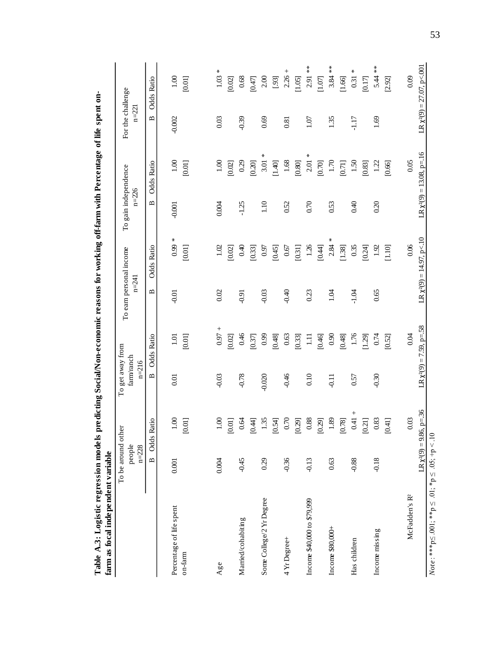| Table A.3: Logistic regression models predicting Social/Non-economic reasons for working off-farm with Percentage of life spent on-<br>farm as focal independent variable |                                           |                                            |                                            |                                       |                                      |                                        |                                   |                                        |                                |                                         |
|---------------------------------------------------------------------------------------------------------------------------------------------------------------------------|-------------------------------------------|--------------------------------------------|--------------------------------------------|---------------------------------------|--------------------------------------|----------------------------------------|-----------------------------------|----------------------------------------|--------------------------------|-----------------------------------------|
|                                                                                                                                                                           | To be around other<br>people<br>$n = 228$ |                                            | To get away from<br>fam/ranch<br>$n = 216$ |                                       | To earn personal income<br>$n = 241$ |                                        | To gain independence<br>$n = 226$ |                                        | For the challenge<br>$n = 221$ |                                         |
|                                                                                                                                                                           | $\mathbf{\Omega}$                         | Odds Ratio                                 | $\mathbf{\Omega}$                          | Odds Ratio                            | $\mathbf{\Omega}$                    | <b>Odds Ratio</b>                      | $\blacksquare$                    | <b>Odds Ratio</b>                      | $\mathbf{\Omega}$              | <b>Odds Ratio</b>                       |
| Percentage of life spent<br>on-farm                                                                                                                                       | 0.001                                     | 1.00<br>[0.01]                             | 0.01                                       | $1.01\,$<br>[0.01]                    | $-0.01$                              | ж<br>0.99<br>[0.01]                    | $-0.001$                          | $1.00\,$<br>[0.01]                     | $-0.002$                       | 1.00<br>[0.01]                          |
| Age                                                                                                                                                                       | 0.004                                     | $1.00\,$<br>$[0.01]$                       | $-0.03$                                    | 0.97<br>[0.02]                        | 0.02                                 | 1.02<br>[0.02]                         | 0.004                             | 1.00<br>[0.02]                         | 0.03                           | ∗<br>1.03<br>[0.02]                     |
| Married/cohabiting                                                                                                                                                        | $-0.45$                                   | 0.64<br>$[0.44]$                           | $-0.78$                                    | 0.46<br>[0.37]                        | $-0.91$                              | 0.40<br>[0.33]                         | $-1.25$                           | 0.29<br>[0.20]                         | $-0.39$                        | $0.68\,$<br>[0.47]                      |
| Some College/2 Yr Degree                                                                                                                                                  | 0.29                                      | 1.35<br>[0.54]                             | $-0.020$                                   | 0.99<br>[84.0]                        | $-0.03$                              | 0.97<br>[0.45]                         | 1.10                              | ∗<br>3.01<br>[1.40]                    | 0.69                           | 2.00<br>[.93]                           |
| 4 Yr Degree+                                                                                                                                                              | $-0.36$                                   | 0.70<br>[0.29]                             | $-0.46$                                    | $0.63\,$<br>[0.33]                    | $-0.40$                              | $0.67\,$<br>[0.31]                     | 0.52                              | 1.68<br>[0.80]                         | 0.81                           | $^{+}$<br>2.26<br>[1.05]                |
| Income \$40,000 to \$79,999                                                                                                                                               | $-0.13$                                   | $0.88\,$<br>[0.29]                         | 0.10                                       | 급<br>[046]                            | 0.23                                 | $1.26$<br>[0.44]                       | 0.70                              | 2.01<br>[0.70]                         | 1.07                           | $2.91**$<br>[1.07]                      |
| Income \$80,000+                                                                                                                                                          | 0.63                                      | $1.89\,$<br>$\left[0.78\right]$            | $-0.11$                                    | 0.90<br>[0.48]                        | 1.04                                 | *<br>2.84<br>[1.38]                    | 0.53                              | 1.70<br>[0.71]                         | 1.35                           | $3.84**$<br>1.66                        |
| Has children                                                                                                                                                              | $-0.88$                                   | $^{+}$<br>$0.41\,$<br>$\left[ 0.21\right]$ | 0.57                                       | 1.76<br>[1.29]                        | $-1.04$                              | 0.35<br>[0.24]                         | 0.40                              | $1.50\,$<br>[0.83]                     | $-1.17$                        | ₩<br>0.31<br>[0.17]                     |
| Income missing                                                                                                                                                            | $-0.18$                                   | 0.83<br>[0.41]                             | $-0.30$                                    | 0.74<br>[0.52]                        | 0.65                                 | 1.92<br>1.10                           | 0.20                              | 1.22<br>[0.66]                         | 1.69                           | 5.44 **<br>[2.92]                       |
| McFadden's R <sup>2</sup>                                                                                                                                                 |                                           | $LR \chi^2(9) = 9.86$ , p=.36<br>$0.03\,$  |                                            | LR $\chi^2(9) = 7.59$ , p=.58<br>0.04 |                                      | $LR \chi^2(9) = 14.97, p < 10$<br>0.06 |                                   | LR $\chi^2(9) = 13.08$ , p=.16<br>0.05 |                                | $LR \chi^2(9) = 27.07, p < 001$<br>0.09 |
| $Note: **p \le .001; **p \le .01; *p \le .05; +p < .10$                                                                                                                   |                                           |                                            |                                            |                                       |                                      |                                        |                                   |                                        |                                |                                         |

**Table A.3: Logistic regression models predicting Social/Non-economic reasons for working off-farm with Percentage of life spent on-**م<br>ما:∎ء £  $\ddot{\phantom{0}}$ ٠, ي<br>نه  $\ddot{\phantom{1}}$ ÷  $\ddot{\phantom{0}}$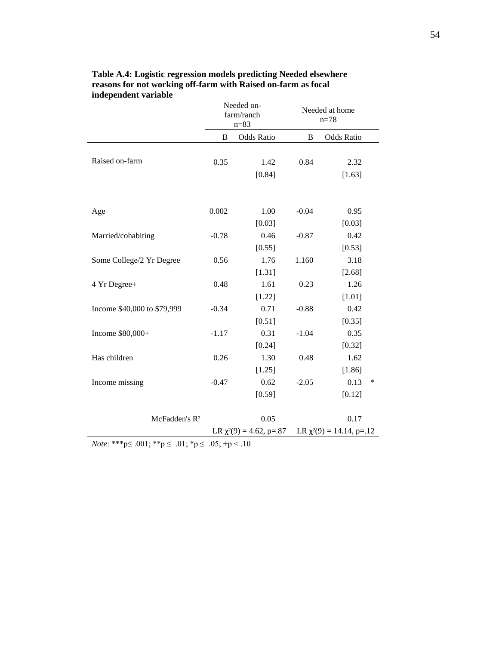| ниерениент титимпе          |         | Needed on-<br>farm/ranch<br>$n = 83$ |         | Needed at home<br>$n = 78$     |
|-----------------------------|---------|--------------------------------------|---------|--------------------------------|
|                             | B       | <b>Odds Ratio</b>                    | B       | <b>Odds Ratio</b>              |
| Raised on-farm              | 0.35    | 1.42<br>[0.84]                       | 0.84    | 2.32<br>[1.63]                 |
| Age                         | 0.002   | 1.00<br>[0.03]                       | $-0.04$ | 0.95<br>[0.03]                 |
| Married/cohabiting          | $-0.78$ | 0.46                                 | $-0.87$ | 0.42                           |
|                             |         | [0.55]                               |         | [0.53]                         |
| Some College/2 Yr Degree    | 0.56    | 1.76                                 | 1.160   | 3.18                           |
|                             |         | [1.31]                               |         | [2.68]                         |
| 4 Yr Degree+                | 0.48    | 1.61                                 | 0.23    | 1.26                           |
|                             |         | [1.22]                               |         | [1.01]                         |
| Income \$40,000 to \$79,999 | $-0.34$ | 0.71                                 | $-0.88$ | 0.42                           |
|                             |         | [0.51]                               |         | [0.35]                         |
| Income \$80,000+            | $-1.17$ | 0.31                                 | $-1.04$ | 0.35                           |
|                             |         | [0.24]                               |         | [0.32]                         |
| Has children                | 0.26    | 1.30                                 | 0.48    | 1.62                           |
|                             |         | [1.25]                               |         | [1.86]                         |
| Income missing              | $-0.47$ | 0.62                                 | $-2.05$ | 0.13<br>∗                      |
|                             |         | [0.59]                               |         | [0.12]                         |
| McFadden's R <sup>2</sup>   |         | 0.05                                 |         | 0.17                           |
|                             |         | LR $\chi^2(9) = 4.62$ , p=.87        |         | LR $\chi^2(9) = 14.14$ , p=.12 |

| Table A.4: Logistic regression models predicting Needed elsewhere |
|-------------------------------------------------------------------|
| reasons for not working off-farm with Raised on-farm as focal     |
| independent variable                                              |

*Note*: \*\*\*p≤ .001; \*\*p ≤ .01; \*p ≤ .05; +p < .10